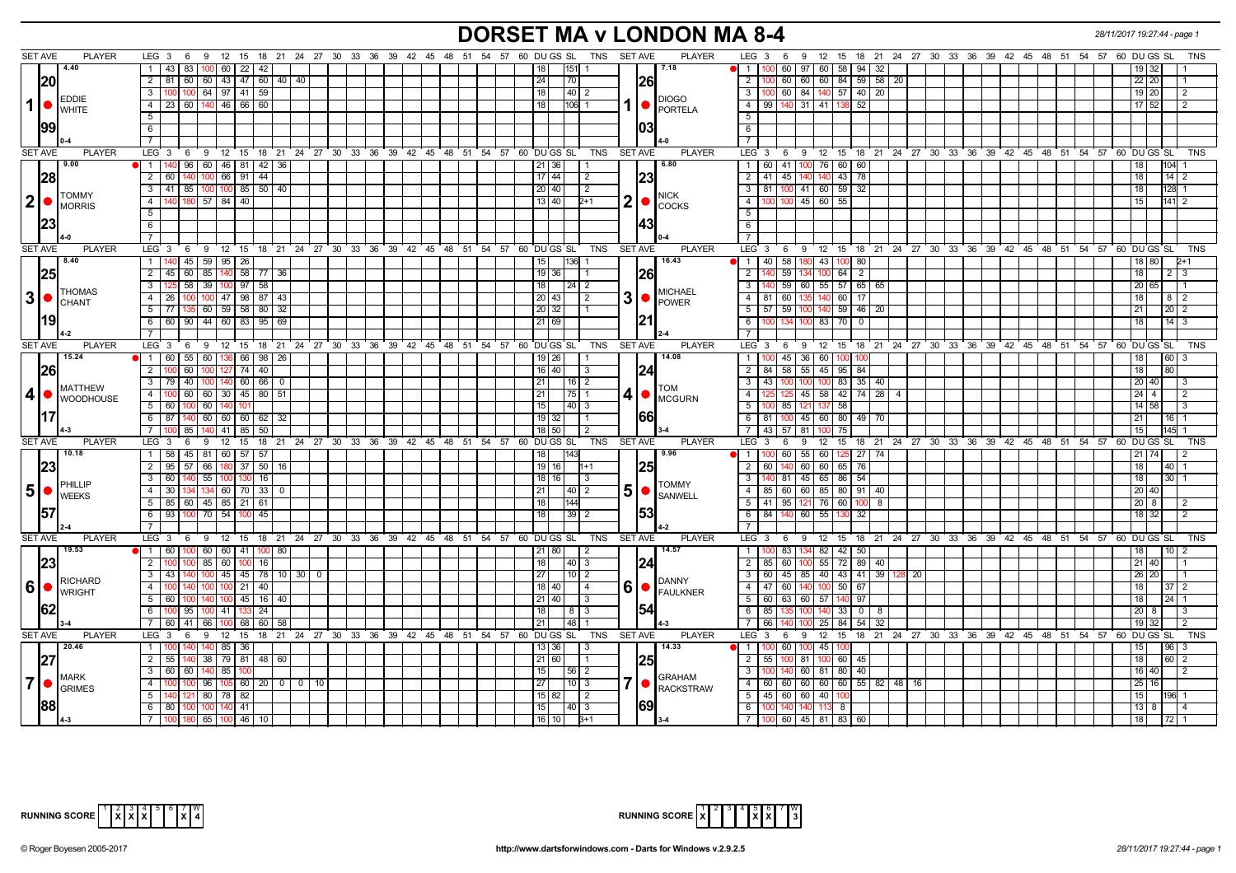# **DORSET MA v LONDON MA 8-4** *28/11/2017 19:27:44 - page 1*

| <b>SET AVE</b><br><b>PLAYER</b>                                                                   | <b>PLAYER</b><br>18  21  24  27  30  33  36  39  42  45  48  51  54  57  60  DU GS  SL<br>TNS SET AVE<br>LEG 3<br>- 6<br>-9<br>12<br>15                                      | <b>TNS</b><br>LEG 3<br>12<br>15 18 21 24 27 30 33 36 39 42 45 48 51 54 57 60 DUGS SL<br>6<br>-9        |
|---------------------------------------------------------------------------------------------------|------------------------------------------------------------------------------------------------------------------------------------------------------------------------------|--------------------------------------------------------------------------------------------------------|
| 4.40                                                                                              | 7.18<br>1 <sup>1</sup><br>43 83<br>60   22  <br>42                                                                                                                           | $\mathbf{1}$<br>60<br>60<br>58 94 32<br>97                                                             |
| 20                                                                                                | 2 I<br>81<br>60<br>  60   43   47   60   40   40<br>24<br>70<br>1261                                                                                                         | 2<br>60 l<br>  60  <br>60<br>84 59 58 20<br>22120                                                      |
| <b>EDDIE</b>                                                                                      | 64 97 41 59<br>$\overline{3}$<br>10 <sub>C</sub><br>18<br>$\vert 40 \vert 2$<br>100<br><b>DIOGO</b>                                                                          | $\overline{3}$<br>60   84   140   57   40   20<br>19 20<br>2                                           |
| $1$   $\bullet$<br><b>WHITE</b>                                                                   | 1<br>4 23 60 140 46 66 60<br>$106$ 1<br>18<br><b>PORTELA</b>                                                                                                                 | 99   140   31   41   138   52<br>$17$ 52<br>$\overline{4}$<br>$\sqrt{2}$                               |
|                                                                                                   | 5                                                                                                                                                                            | $\overline{5}$                                                                                         |
| 99                                                                                                | 103<br>6                                                                                                                                                                     | 6                                                                                                      |
|                                                                                                   |                                                                                                                                                                              | $\overline{7}$                                                                                         |
| <b>SET AVE</b><br><b>PLAYER</b>                                                                   | LEG <sup>3</sup><br>18 21 24 27 30 33 36 39 42 45 48 51 54 57 60 DUGS SL<br>TNS<br><b>SET AVE</b><br><b>PLAYER</b><br>9 12 15<br>6                                           | LEG <sub>3</sub><br>12 15 18 21 24 27 30 33 36 39 42 45 48 51 54 57 60 DUGS SL<br><b>TNS</b><br>6<br>9 |
| 9.00                                                                                              | 60 46 81 42 36<br>6.80<br>1 <sup>1</sup><br>140<br>96<br>21 36                                                                                                               | 60 41 100 76 60 60<br>$\mathbf{1}$                                                                     |
| 28                                                                                                | $\overline{44}$<br>$17 \mid 44$<br> 23 <br>$\overline{2}$<br>60<br>66 91<br>$\overline{2}$                                                                                   | $\overline{2}$<br>45 140<br>43 78<br>$14$ 2<br>41<br>14(<br>18 l                                       |
|                                                                                                   | 41 85<br>100 100 85<br>$50 \mid 40$<br>20 40<br>3<br>$\vert$ 2                                                                                                               | $\overline{3}$<br>81   100   41   60   59   32<br>128<br>18                                            |
| <b>TOMMY</b><br>2 •                                                                               | NICK<br>2<br>4<br>57 84 40<br>13 40<br>140<br>2+1                                                                                                                            | $\overline{4}$<br>45<br>60<br>55                                                                       |
| <b>MORRIS</b>                                                                                     | <b>COCKS</b><br>5                                                                                                                                                            | 5                                                                                                      |
| 23                                                                                                | 143<br>6                                                                                                                                                                     | 6                                                                                                      |
|                                                                                                   |                                                                                                                                                                              |                                                                                                        |
| <b>SET AVE</b><br><b>PLAYER</b>                                                                   | 18 21 24 27 30 33 36 39 42 45 48 51 54 57<br>60 DU GS SL<br><b>SET AVE</b><br><b>PLAYER</b><br>LEG 3<br>9<br>12 15<br>TNS<br>- 6                                             | <b>LEG</b><br>12 15 18 21 24 27 30 33 36 39 42 45 48 51 54 57 60 DUGS SL<br>TNS<br>- 3<br>- 6<br>- 9   |
| 8.40                                                                                              | $59 \mid 95 \mid 26$<br>136 1<br>16.43<br>45<br>15<br>- 1 - I<br>140                                                                                                         | 58<br>43<br>$\overline{1}$<br>40<br>80<br>80                                                           |
| 25                                                                                                | 85 140 58<br>$\overline{2}$<br>$45 \ 60$<br>$77 \mid 36$<br>$19$ 36<br>I26I                                                                                                  | $\overline{2}$<br>59<br>64<br>$\overline{2}$<br>18  <br>$2 \mid 3$                                     |
|                                                                                                   | 58<br>39<br>$100$ 97<br>58<br>18<br>3 I<br>125<br>24   2                                                                                                                     | $\overline{3}$<br>59<br>55 57 65 65<br>l 60<br>20 I<br>65                                              |
| <b>THOMAS</b>                                                                                     | <b>MICHAEL</b><br>3  <sub>•</sub><br>100 47 98 87 43<br>20 43<br>4 26<br>100<br>$\vert 2 \vert$                                                                              | $\overline{4}$<br>81 60<br>60 17<br>14<br>18<br>$8 \mid 2$                                             |
| $3$ $\bullet$ $\left  \begin{smallmatrix} 1 & 0 & 0 \\ 0 & 1 & 0 \end{smallmatrix} \right $ CHANT | <b>POWER</b><br>60 59 58 80 32<br>$5 \mid 77 \mid$<br>20 32<br>135                                                                                                           | $\overline{5}$<br>57 59 100<br>$59$ 46 20<br>$20$   2<br>21                                            |
| 19                                                                                                | 60 90 44 60 83<br>$95 \ 69$<br>21 69<br>6                                                                                                                                    | $6\overline{6}$<br>14<br>134 100<br>83<br>70<br>$\Omega$<br>18 l                                       |
|                                                                                                   |                                                                                                                                                                              |                                                                                                        |
| <b>SET AVE</b><br><b>PLAYER</b>                                                                   | LEG $3 \quad 6$<br>9 12 15 18 21 24 27 30 33 36 39 42 45 48 51 54 57<br>60 DU GS SL<br>TNS<br><b>SET AVE</b><br><b>PLAYER</b>                                                | LEG 3<br>12 15 18 21 24 27 30 33 36 39 42 45 48 51 54 57 60 DUGS SL<br>TNS<br>- 6<br>9                 |
| 15.24                                                                                             | 55<br>$136$ 66<br>$98 \mid 26$<br>14.08<br>1 60<br>60 I                                                                                                                      | 45 36 60<br>1<br>160                                                                                   |
|                                                                                                   | 19   26<br>$\overline{2}$<br>60<br>100 <sup>°</sup>                                                                                                                          | 100<br>84   58   55   45   95   84<br>180                                                              |
| 26                                                                                                | 100 127 74 40<br>16 40<br>3<br>124                                                                                                                                           | $\overline{2}$<br>18 I<br>$\overline{3}$<br>$-43$                                                      |
| MATTHEW                                                                                           | $3 \mid 79 \mid 40$<br>100 140 60 66 0<br>21<br>  16   2<br><b>TOM</b>                                                                                                       | 100 100 100 83 35 40<br>20 40<br>I 3                                                                   |
| 4   WOODHOUSE                                                                                     | $-4$<br>100 60 60 30 45 80 51<br>4<br>$21 \mid$<br>$ 75 $ 1<br><b>MCGURN</b>                                                                                                 | 25 125 45 58 42 74 28 4<br>$\overline{4}$<br>2444                                                      |
|                                                                                                   | $5 \mid 60$<br>100<br>60 140 10<br>15<br> 40 3                                                                                                                               | 5<br>100 85 121 137 58<br>14 58<br>-3                                                                  |
| 1171                                                                                              | 1661<br>87<br>60 60 60<br>$19$ 32<br>- 6 I<br>62 32<br>$\vert$ 1                                                                                                             | 6<br>81   100   45   60   80   49   70<br>21 <sup>1</sup><br>  16                                      |
|                                                                                                   | $140$   41   85<br>18 50<br>7<br>100<br>85<br>-50  <br>$\sqrt{2}$                                                                                                            | $\overline{7}$<br>43   57   81<br><b>100</b><br>75<br>15  <br>145                                      |
| <b>SET AVE</b><br><b>PLAYER</b><br>10.18                                                          | 18 21 24 27 30 33 36 39 42 45 48 51 54 57 60 DUGS SL<br><b>PLAYER</b><br>LEG <sub>3</sub><br>$9 \t12$<br>15<br><b>TNS</b><br><b>SET AVE</b><br>- 6<br>9.96<br>$\overline{1}$ | 9 12 15 18 21 24 27 30 33 36 39 42 45 48 51 54 57 60 DUGS SL<br>LEG <sub>3</sub><br><b>TNS</b><br>6    |
|                                                                                                   | 58<br>81 60 57<br>57<br>45<br>18                                                                                                                                             | 60<br>55<br>60<br>125 27<br>$\overline{1}$<br>174                                                      |
| 23                                                                                                | 57<br>180 37<br><b>25</b><br>95<br>50<br>$19$ 16<br>$\overline{2}$<br>  66  <br>- 16<br>l1+1                                                                                 | 2<br>60<br>60 65 76<br>60 l<br>18<br>l 40 l                                                            |
| PHILLIP                                                                                           | 55 100 130<br>60<br>16 <br>18   16<br>3<br><b>TOMMY</b>                                                                                                                      | 3<br>0 81 45 65 86 54<br>18  <br><b>30 L1</b>                                                          |
| 5 • <br><b>WEEKS</b>                                                                              | 5<br>30<br>21<br>4<br>$134$ 60<br>l 70<br>33<br>40   2<br><b>SANWELL</b>                                                                                                     | $\overline{4}$<br>60 60<br>85<br>80 91<br>20 40<br>85 I                                                |
|                                                                                                   | 5 85 60 45 85 21<br>18<br>144<br>  61                                                                                                                                        | 5<br>41   95   121   76   60  <br>$20 \mid 8$<br>-8                                                    |
| 157                                                                                               | 1531<br>93<br>$100$ 70 54<br>$39$   2<br>45<br>- 6 I<br>  100<br>18                                                                                                          | 6<br>84 140 60 55 130<br>32<br>18   32                                                                 |
|                                                                                                   |                                                                                                                                                                              | $\overline{7}$                                                                                         |
| <b>PLAYER</b><br>SET AVE                                                                          | <b>PLAYER</b><br>LEG 3 6 9 12 15 18 21 24 27 30 33 36 39 42 45 48 51 54 57<br>60 DU GS SL<br>TNS<br>SET AVE                                                                  | LEG $3 \t6$<br>9 12 15 18 21 24 27 30 33 36 39 42 45 48 51 54 57 60 DUGS SL<br><b>TNS</b>              |
| 19.53                                                                                             | $\sqrt{1}$<br>60<br>60 60 41 100<br>$21$ 80<br>14.57<br>80<br>100<br>2                                                                                                       | $\overline{1}$<br>83<br>134 82 42 50                                                                   |
| 123                                                                                               | $\overline{2}$<br>100<br>85 I<br>60<br>16 <sup>1</sup><br>18 I<br>40   3<br>124                                                                                              | $\overline{2}$<br>60 l<br>55 I<br>72 89<br>85 I<br>-40<br>40                                           |
| RICHARD                                                                                           | 45 45 78 10 30<br>$\overline{27}$<br>3 <sup>1</sup><br>43<br>$10$   2<br>$\Omega$<br><b>DANNY</b>                                                                            | $\overline{\mathbf{3}}$<br>60 45 85 40 43 41<br>39<br>20<br>26 20                                      |
| $60$ $\sqrt{\frac{N_{\text{WRIGHT}}}{N_{\text{RIGHT}}}}$                                          | 6<br>100<br>$100$ 21<br>40<br>$18$ 40<br>4<br>4<br>100 I<br><b>FAULKNER</b>                                                                                                  | 47 60 140 100 50 67<br>$\overline{4}$<br>18 <sup>1</sup><br>37 <sup>2</sup>                            |
|                                                                                                   | 5<br>60<br>$100$ 45<br>16 I<br>$21$   40<br>3<br>140 I<br>-40                                                                                                                | 5 <sup>5</sup><br>  60   63   60   57  <br>97<br>24<br>140<br>18                                       |
| 62                                                                                                | 154<br>95<br>6<br>$100 -$<br>41<br>24<br>18 <sup>1</sup><br>$8 \mid 3$                                                                                                       | 6<br>85<br>33<br>$\overline{0}$<br>-8<br>20.<br>-8                                                     |
|                                                                                                   | 21<br> 48 <br>60<br>41<br>66<br>68<br>60   58                                                                                                                                | $\overline{7}$<br>66<br>84 I<br>54<br>25<br>-32<br>19 32                                               |
| <b>SET AVE</b><br><b>PLAYER</b>                                                                   | 18 21 24 27 30 33 36 39 42 45 48 51 54 57<br>60 DU GS SL<br>TNS<br><b>SET AVE</b><br><b>PLAYER</b><br>LEG 3<br>12<br>15<br>9                                                 | 18 21 24 27 30 33 36 39 42 45 48 51 54 57 60 DUGS SL<br>LEG 3<br>12<br>15<br><b>TNS</b><br>6<br>9      |
| 20.46                                                                                             | 85 36<br>13 36<br>14.33<br>1 <sup>1</sup><br>-3                                                                                                                              | $\mathbf{1}$<br>60<br>$100 \quad 45$<br>15 I<br>l 96 I                                                 |
| 27                                                                                                | 55<br>$38$ 79 81<br>21 60<br> 25 <br>2 I<br>48 60<br>$\overline{1}$                                                                                                          | 55<br>81<br>$\overline{2}$<br>60 I<br>45<br>18 <sup>1</sup><br>60 2                                    |
| <b>MARK</b>                                                                                       | $3 \mid 60$<br>$15$ 56 2<br>60<br>140 85<br><b>GRAHAM</b>                                                                                                                    | $\overline{\mathbf{3}}$<br>60 81 80 40<br>16   40  <br>$\overline{2}$<br>140                           |
| $7\bullet$<br><b>GRIMES</b>                                                                       | 7<br>27<br>96 105 60 20 0<br>$110$ 3<br>4<br>100<br>$\mathbf 0$<br>- 10 I<br><b>RACKSTRAW</b>                                                                                | 60   60   60   60   60   55   82   48   16<br>$\overline{4}$<br>25 16                                  |
|                                                                                                   | 80 78 82<br>51<br>140<br>15 82<br>l 2<br>121                                                                                                                                 | 5<br>45 60 60 40<br>15 <sup>1</sup><br>196<br>100                                                      |
| <b>88</b>                                                                                         | 169<br>6 80 100 100 140 41<br>15<br>$\vert 40 \vert 3$                                                                                                                       | 6<br>100 140 140 113 8<br>$13 \mid 8$                                                                  |
|                                                                                                   | 7   100   180   65   100   46   10  <br>16 10 1<br>$B+1$                                                                                                                     | 7 100 60 45 81 83 60<br>l 18 l<br>$72 \mid 1$                                                          |



| RUNNING SCORE $\begin{bmatrix} 1 & 2 & 3 & 4 & 5 & 6 & 7 & 8 \ 1 & 2 & 3 & 4 & 5 & 6 & 7 \ 1 & 8 & 2 & 3 & 8 \end{bmatrix}$ |  |  |  |  |  |
|-----------------------------------------------------------------------------------------------------------------------------|--|--|--|--|--|
|                                                                                                                             |  |  |  |  |  |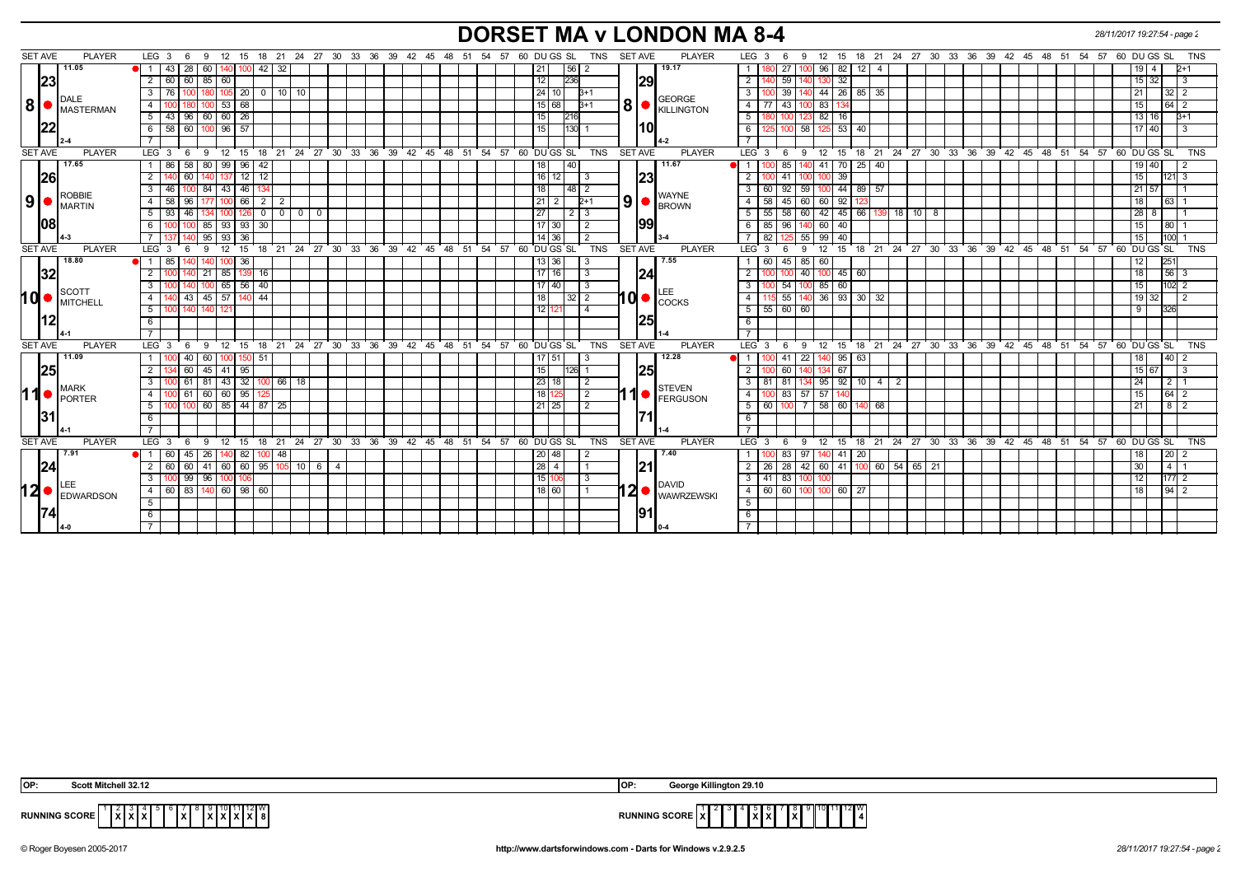# **DORSET MA v LONDON MA 8-4** *28/11/2017 19:27:54 - page 2*

| SET AVE        | <b>PLAYER</b>                      | $LEG_36$                                                      |                     |                                | 9 12 15 18 21 24 27 30 33 36 39 42 45 48 51 54 57 60 DU GS SL |                | TNS                                                                 | <b>SET AVE</b><br><b>PLAYER</b>          | LEG <sub>3</sub><br>12 15 18 21 24 27 30 33 36 39 42 45 48 51 54 57 60 DUGS SL<br>9<br>TNS<br>- 6    |
|----------------|------------------------------------|---------------------------------------------------------------|---------------------|--------------------------------|---------------------------------------------------------------|----------------|---------------------------------------------------------------------|------------------------------------------|------------------------------------------------------------------------------------------------------|
|                | 11.05                              | $43 \mid 28$<br>1 <sup>1</sup><br>$60$   140   $\cdot$<br>100 | 42 32               |                                |                                                               |                | 21 <br> 56 2                                                        | 19.17                                    | 96<br>82<br>12 <sup>1</sup><br>27<br>-4<br>$P+1$<br>100.                                             |
|                | 23                                 | 60 60 85 60<br>2                                              |                     |                                |                                                               |                | 12<br>1236                                                          | 29                                       | 2<br>-59 I<br>32 <sup>2</sup><br>140<br>$15 \mid 32 \mid$<br>130                                     |
|                |                                    | $105$ 20<br>76 I<br>3<br>100                                  | 0 1 10 1 10         |                                |                                                               |                | 24 10 <br>$B+1$                                                     |                                          | 39 <br>140 44 26 85 35<br>$\mathbf{3}$<br>32                                                         |
| 8              | DALE                               | 53   68<br>4                                                  |                     |                                |                                                               |                | 15 68 <br>$B+1$                                                     | <b>GEORGE</b><br>8                       | $-43$<br>$\overline{4}$<br>77<br>83<br>64<br>15 <sup>1</sup><br>100                                  |
|                | <b>MASTERMAN</b>                   | $5 \mid 43 \mid 96 \mid 60 \mid 60 \mid 26$                   |                     |                                |                                                               |                | 15<br> 216                                                          | <b>KILLINGTON</b>                        | 180 100 123 82 16<br>5<br>13 16<br>$3+1$                                                             |
|                | 22                                 | 6 58 60 100 96 57                                             |                     |                                |                                                               |                | 15<br>$ 130 $ 1                                                     | I10I                                     | 125 100 58 125 53 40<br>6<br>$17 \ 40$                                                               |
|                |                                    |                                                               |                     |                                |                                                               |                |                                                                     |                                          | $\overline{7}$                                                                                       |
| <b>SET AVE</b> | <b>PLAYER</b>                      | $LEG_36$                                                      |                     |                                | 9 12 15 18 21 24 27 30 33 36 39 42 45 48 51 54 57 60 DUGS SL  |                | <b>TNS</b>                                                          | <b>SET AVE</b><br><b>PLAYER</b>          | LEG 3 6 9 12 15 18 21 24 27 30 33 36 39 42 45 48 51 54 57 60 DUGS SL<br><b>TNS</b>                   |
|                | 17.65                              | 86 58<br>80 99 96<br>-1                                       | 42                  |                                |                                                               |                | 18<br>40                                                            | 11.67                                    | 70 25 40<br>41<br>85<br>140<br>19   40                                                               |
|                | <b>26</b>                          | 12<br>60                                                      | 12                  |                                |                                                               |                | $16$   12                                                           | 23                                       | $\overline{2}$<br>39<br>121                                                                          |
|                |                                    | 46 I<br>84 43 46<br>3<br>100                                  |                     |                                |                                                               |                | 18<br> 48 2                                                         |                                          | 59<br>44 89 57<br>3 <sup>1</sup><br>60<br>-92 I<br>$21 \, 57$<br>100                                 |
| 9 ●            | ROBBIE<br><b>IMARTIN</b>           | 100 66<br>58 96<br>4                                          | 2   2               |                                |                                                               |                | $21 \mid 2$<br>$2+1$                                                | <b>WAYNE</b><br>9<br><b>BROWN</b>        | 58<br>45 60<br>60<br>92<br>18 <sup>1</sup><br>63<br>4<br>123                                         |
|                |                                    | 5<br>- 93<br>-46<br>100 126                                   | $0$   0             | $\mathbf{0}$<br>$\overline{0}$ |                                                               |                | 27<br>2   3                                                         |                                          | 5<br>55<br>42<br>$45 \mid 66$<br>60<br>$18$ 10   8<br>58  <br>$28 \mid 8$<br>-139                    |
|                | 108                                | 85   93   93   30                                             |                     |                                |                                                               |                | 17 30 <br>$\overline{2}$                                            | 199                                      | 6 I<br>-85 I<br>l 96 I<br>140 60<br>40 <sup>1</sup><br>80                                            |
|                |                                    | $95$   93   36                                                |                     |                                |                                                               |                | 14 36                                                               |                                          | 82<br>$\overline{5}$ 55<br>$99 \ 40$                                                                 |
| <b>SET AVE</b> | <b>PLAYER</b>                      | LEG 3<br>12 15<br>9<br>- 6                                    |                     |                                | 18 21 24 27 30 33 36 39 42 45<br>-48                          | 54<br>51<br>57 | TNS<br>60 DU GS SL                                                  | <b>SET AVE</b><br><b>PLAYER</b>          | 12 15 18 21 24 27 30 33 36 39 42 45 48<br>51 54 57<br>60 DU GS SL<br>LEG 3<br><b>TNS</b><br>9<br>- 6 |
|                | 18.80                              | 00 36<br>$\blacksquare$<br>- 85                               |                     |                                |                                                               |                | 13 36                                                               | 7.55                                     | $85$ 60<br>60<br>  45  <br>$25^{\circ}$                                                              |
|                | 32                                 | $21 \mid 85 \mid 139$<br>2<br>140                             | - 16 I              |                                |                                                               |                | 17 16<br>3                                                          | 124                                      | $\sqrt{56}$ 3<br>$\overline{2}$<br>100 100 40 100 45 60<br>18 <sup>1</sup>                           |
|                |                                    | $100$ 65 56 40                                                |                     |                                |                                                               |                | 17 40<br>-3                                                         |                                          | $\overline{3}$<br>54 100 85 60<br>$102$ 2<br>15                                                      |
| hd•            | <b>∥</b> SCOTT<br><b>IMITCHELL</b> | 140 43 45 57 140 44<br>$\overline{4}$                         |                     |                                |                                                               |                | 18                                                                  | I Q ●<br><b>COCKS</b>                    | 55 140 36 93 30 32<br>$\overline{4}$<br>19321<br>$\sqrt{2}$                                          |
|                |                                    | 5 <sup>7</sup><br>100 140                                     |                     |                                |                                                               |                | $12$ 121<br><b>4</b>                                                |                                          | 5   55   60   60<br>326<br>9                                                                         |
|                |                                    | 6                                                             |                     |                                |                                                               |                |                                                                     | 125                                      | $6\overline{6}$                                                                                      |
|                |                                    |                                                               |                     |                                |                                                               |                |                                                                     |                                          | $\overline{7}$                                                                                       |
| <b>SET AVE</b> | <b>PLAYER</b>                      | LEG <sub>3</sub><br>6                                         |                     |                                |                                                               |                | 9 12 15 18 21 24 27 30 33 36 39 42 45 48 51 54 57 60 DUGS SL TNS    | <b>PLAYER</b><br><b>SET AVE</b>          | 9 12 15 18 21 24 27 30 33 36 39 42 45 48 51 54 57 60 DUGS SL<br>$LEG \ 3$<br>່ 6<br><b>TNS</b>       |
|                | 11.09                              | $00 - 40$<br>60   100   150   51                              |                     |                                |                                                               |                | 17   51                                                             | 12.28                                    | 22<br>$95 \mid 63$<br>40 2<br>$\overline{1}$<br>-41                                                  |
|                | 25                                 | $45$   41   95<br>2<br>4 60 1                                 |                     |                                |                                                               |                | 15<br>$ 126 $ 1                                                     | 25                                       | $\overline{2}$<br>67<br>-60 I<br>140<br>15 67<br>-3                                                  |
|                |                                    | 00 61 81 43 32 100 66 18<br>3                                 |                     |                                |                                                               |                | 23 18 <br>2                                                         |                                          | 81 81 134 95 92 10 4<br>3 I<br>  2  <br>$\overline{2}$                                               |
| 11             | <b>I</b> MARK                      | $100 \t61 \t60 \t60 \t95$<br>$\overline{4}$                   |                     |                                |                                                               |                | 18 1<br>2                                                           | <b>STEVEN</b>                            | 100 83 57 57<br>$\overline{4}$<br>$64$ 2                                                             |
|                | PORTER                             | $100$ 100 60 85 44 87 25<br>5 <sup>5</sup>                    |                     |                                |                                                               |                | 21 25<br>2                                                          | FERGUSON                                 | 5   60   100   7   58   60   140   68<br>8 <sup>1</sup>                                              |
|                | <b>131</b>                         | 6                                                             |                     |                                |                                                               |                |                                                                     |                                          | 6                                                                                                    |
|                |                                    |                                                               |                     |                                |                                                               |                |                                                                     |                                          | $\overline{7}$                                                                                       |
| <b>SET AVE</b> | <b>PLAYER</b>                      | LEG $3 \quad 6$                                               |                     |                                | 9 12 15 18 21 24 27 30 33 36 39 42 45 48 51 54 57 60 DUGS SL  |                | <b>TNS</b>                                                          | <b>SET AVE</b><br><b>PLAYER</b>          | 9 12 15 18 21 24 27 30 33 36 39 42 45 48 51 54 57 60 DUGS SL TNS<br>LEG $3 \quad 6$                  |
|                | ▌7.91                              | 1 60 45 <br>26 140 82                                         | 100 I 48            |                                |                                                               |                | 20 48                                                               | 7.40                                     | 97<br>41 20<br>20<br>83  <br>140                                                                     |
|                | 24                                 | 60<br>41                                                      | 60 60 95 105 10 6 4 |                                |                                                               |                | $\begin{array}{ c c c c c }\n\hline\n28 & 4 \\ \hline\n\end{array}$ | 21                                       | 2<br>26<br>42 60 41 100 60 54 65 21<br>$\overline{4}$<br>l 28 l                                      |
|                |                                    | $00 \t99$<br>96 100<br>3<br>106                               |                     |                                |                                                               |                | 15 106                                                              |                                          | 3 I<br>$41 \mid 83 \mid$<br>100<br>177                                                               |
|                | $12$ $\bullet$ EDWARDSON           | 4 60 83 140 60 98 60                                          |                     |                                |                                                               |                | 18 60 <br>$\overline{1}$                                            | <b>DAVID</b><br>$12 \bullet $ WAWRZEWSKI | 4 I<br>60 60 100 100 60 27<br>94                                                                     |
|                |                                    | 5                                                             |                     |                                |                                                               |                |                                                                     |                                          | 5                                                                                                    |
|                |                                    |                                                               |                     |                                |                                                               |                |                                                                     | 191                                      | 6                                                                                                    |
|                |                                    |                                                               |                     |                                |                                                               |                |                                                                     |                                          |                                                                                                      |
|                |                                    |                                                               |                     |                                |                                                               |                |                                                                     |                                          |                                                                                                      |

| OP:                                                                                                                                                                                                                               | George Killington 29.10                                                  |
|-----------------------------------------------------------------------------------------------------------------------------------------------------------------------------------------------------------------------------------|--------------------------------------------------------------------------|
| Scott Mitchell 32.12                                                                                                                                                                                                              | 1OF                                                                      |
| $\frac{1}{2}$ $\begin{bmatrix} 2 & 3 & 4 \\ 3 & 2 & 3 \end{bmatrix}$ $\begin{bmatrix} 4 & 5 & 6 \\ 2 & 3 & 7 \end{bmatrix}$ $\begin{bmatrix} 7 & 8 & 9 & 10 & 11 & 12 \\ 8 & 2 & 2 & 2 & 8 \end{bmatrix}$<br><b>RUNNING SCORE</b> | $10 \t11 \t12 \tW$<br>′ I ≎ I<br><b>RUNNING SCORE XI</b><br>IXIX.<br>. . |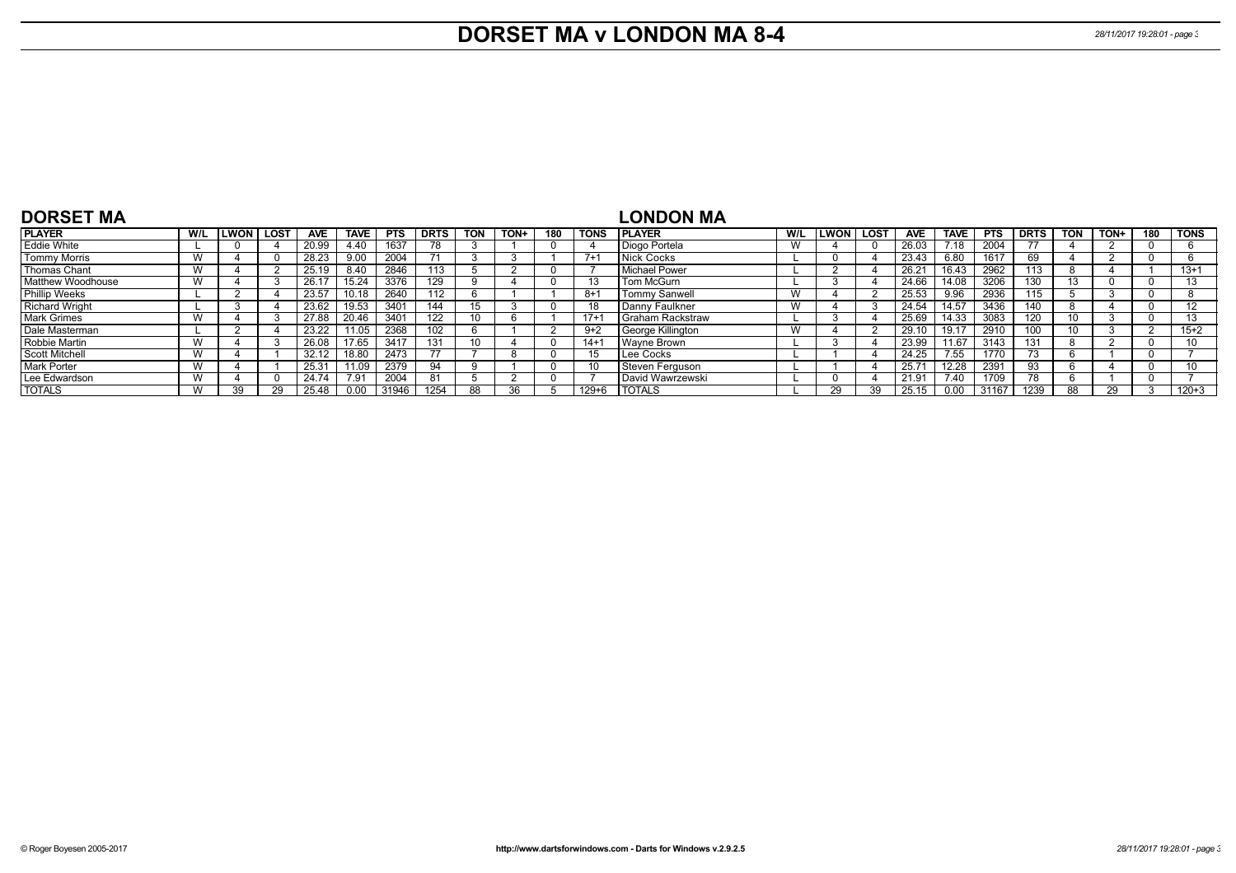## **DORSET MA v LONDON MA 8-4** *28/11/2017 19:28:01 - page 3*

| <b>DORSET MA</b>         |     |               |             |            |             |            |             |            |      |     |             | LONDON MA            |     |               |      |            |             |       |             |            |      |     |                   |
|--------------------------|-----|---------------|-------------|------------|-------------|------------|-------------|------------|------|-----|-------------|----------------------|-----|---------------|------|------------|-------------|-------|-------------|------------|------|-----|-------------------|
| <b>PLAYER</b>            | W/L | <b>LWON</b> I | <b>LOST</b> | <b>AVE</b> | <b>TAVE</b> | <b>PTS</b> | <b>DRTS</b> | <b>TON</b> | TON+ | 180 | <b>TONS</b> | <b>I PLAYER</b>      | W/L | <b>LWON</b> I | LOST | <b>AVE</b> | <b>TAVE</b> | PTS   | <b>DRTS</b> | <b>TON</b> | TON+ | 180 | <b>TONS</b>       |
| Eddie White              |     |               |             | 20.99      | 4.40        | 1637       | 78          |            |      |     |             | Diogo Portela        | W   |               |      | 26.03      | 7.18        | 2004  |             |            |      |     |                   |
| <b>Tommy Morris</b>      | W   |               |             | 28.23      | 9.00        | 2004       | 71          |            |      |     | $7+$        | Nick Cocks           |     |               |      | 23.43      | 6.80        | 1617  | 69          |            |      |     |                   |
| Thomas Chant             | v v |               |             | 25.19      | 8.40        | 2846       | 13          |            |      |     |             | Michael Power        |     |               |      | 26.21      | 16.43       | 2962  | 113         | ŏ          |      |     | $13 + 1$          |
| <b>Matthew Woodhouse</b> | v v |               |             | 26.1       | 15.24       | 3376       | 129         |            |      |     |             | Tom McGurn           |     |               |      | 24.66      | 14.08       | 3206  | 130         |            |      |     | 13                |
| <b>Phillip Weeks</b>     |     |               |             | 23.57      | 10.18       | 2640       | 112         | b          |      |     | $8+$        | <b>Tommy Sanwell</b> | W   |               |      | 25.53      | 9.96        | 2936  | 115         |            |      |     |                   |
| <b>Richard Wright</b>    |     |               |             | 23.62      | 19.53       | 3401       | 144         | 15         |      |     |             | Danny Faulkner       | W   |               |      | 24.54      | 14.57       | 3436  | 140         | 8          |      |     | $12 \overline{ }$ |
| <b>Mark Grimes</b>       | W   |               |             | 27.88      | 20.46       | 3401       | 122         | 10         |      |     | $17+$       | I Graham Rackstraw   |     |               |      | 25.69      | 14.33       | 3083  | 120         |            |      |     | 13                |
| Dale Masterman           |     |               |             | 23.22      | ' 1.05      | 2368       | 102         | O          |      |     | $9+2$       | George Killington    | W   |               |      | 29.10      | 19.17       | 2910  | 100         |            |      |     | $15+2$            |
| Robbie Martin            | v v |               |             | 26.08      | 17.65       | 3417       | 131         | 10         |      |     | $14+$       | Wayne Brown          |     |               |      | 23.99      | 11.67       | 3143  | 131         | ŏ          |      |     |                   |
| Scott Mitchell           | W   |               |             | 32.12      | 18.80       | 2473       |             |            |      |     |             | Lee Cocks            |     |               |      | 24.25      | 7.55        | 1770  |             | n          |      |     |                   |
| <b>Mark Porter</b>       | W   |               |             | 25.3'      | 11.09       | 2379       | 94          |            |      |     |             | Steven Ferguson      |     |               |      | 25.71      | 12.28       | 2391  | 93          | n          |      |     | 10                |
| Lee Edwardson            | V V |               |             | 24.74      | 7.91        | 2004       | 81          |            |      |     |             | David Wawrzewski     |     |               |      | 21.91      | 7.40        | 1709  | 78          | n          |      |     |                   |
| <b>TOTALS</b>            |     | 39            |             | 25.48      | 0.00        | 31946      | 1254        | 88         | 36   |     | $129 + 6$   | <b>TOTALS</b>        |     |               | 39   | 25.<br>15  |             | 31167 | 1239        | 88         |      |     | $120 + 3$         |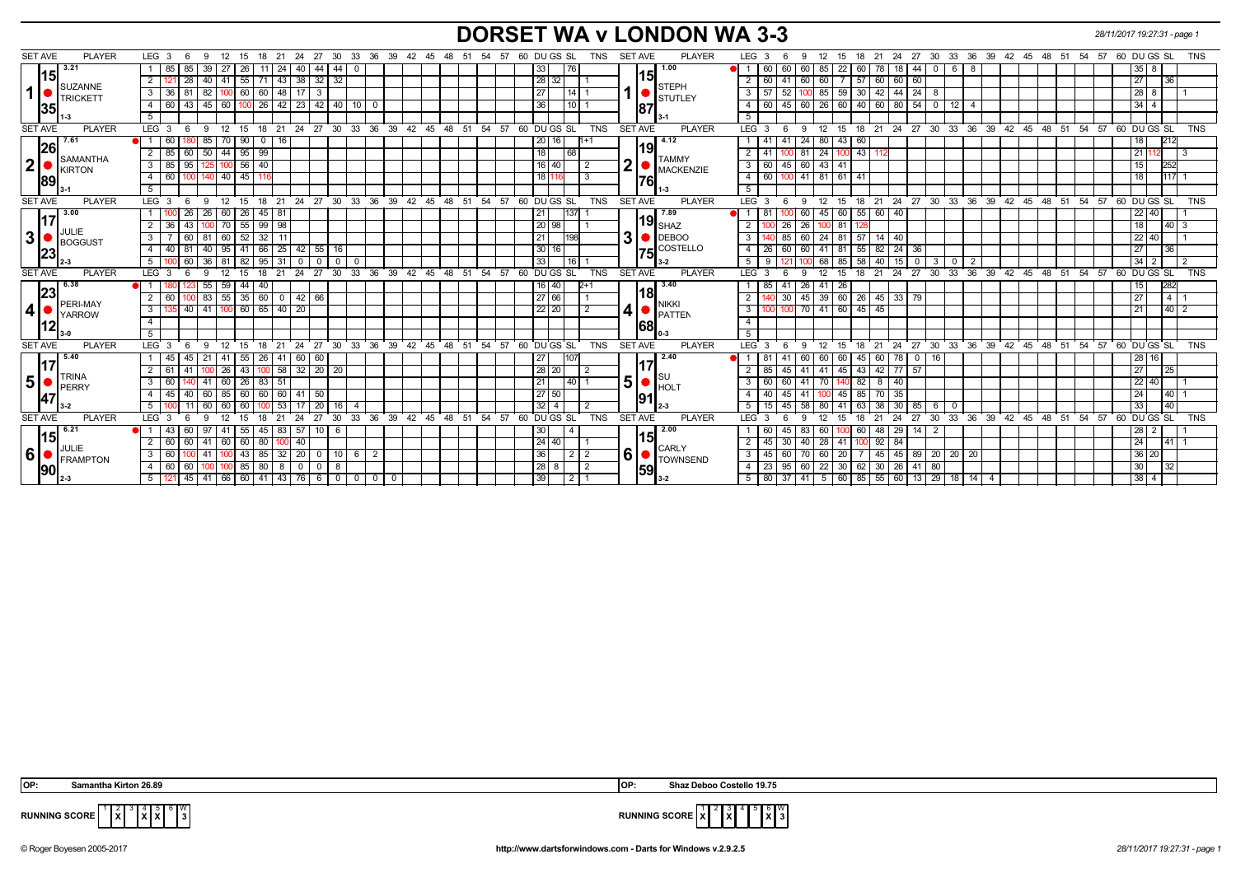### **DORSET WA v LONDON WA 3-3** *28/11/2017 19:27:31 - page 1*

| <b>SET AVE</b> | <b>PLAYER</b>             | LEG 3<br>- 6                                                              | 15<br>18<br>- 21             | 27<br>24                                             |                                                |          | 30 33 36 39 42 45 48 51 54 57 60 DUGS SL |          |          |                         | TNS              | SET AVE                 | <b>PLAYER</b>                           | LEG 3            |                       |         | 12<br>- 15 | 18              | 21<br>24               | 27 30        |                                                                  |   | 33 36 39 42 45 48 51                                       |          |    | 54 57       |                 | 60 DU GS SL                   | <b>TNS</b> |
|----------------|---------------------------|---------------------------------------------------------------------------|------------------------------|------------------------------------------------------|------------------------------------------------|----------|------------------------------------------|----------|----------|-------------------------|------------------|-------------------------|-----------------------------------------|------------------|-----------------------|---------|------------|-----------------|------------------------|--------------|------------------------------------------------------------------|---|------------------------------------------------------------|----------|----|-------------|-----------------|-------------------------------|------------|
|                | 3.21<br> 15               | 85<br>39<br>-85                                                           | 26                           | 44<br>40<br>-24                                      | 44<br>$\Omega$                                 |          |                                          |          |          | 33                      | 76               | 15                      | 1.00                                    |                  | 60<br>60              | 60      | 85<br>22   | 60              | 18,                    | 44           | 6                                                                | 8 |                                                            |          |    |             | 35 I            | 8                             |            |
|                | SUZANNE                   | 2<br>28<br>40   41                                                        | 55 <br>71   43               | 38<br>32 <sub>1</sub>                                | 32                                             |          |                                          |          |          | 28 32                   |                  |                         | <b>STEPH</b>                            | $\overline{2}$   | 60   41               | 60 I    | 60 I       | 57              | 60 60                  | 60           |                                                                  |   |                                                            |          |    |             | 27              | 36                            |            |
| 1              | TRICKETT                  | 3 36 81<br>82<br>$100$ 60                                                 | 60   48                      | 17<br>-3                                             |                                                |          |                                          |          |          | $\overline{27}$         | 14               |                         | STUTLEY                                 | 3 <sup>1</sup>   | $\overline{57}$<br>52 | 100.    | 85         | 59 30           | $42 \mid 44 \mid$      | $\sqrt{24}$  |                                                                  |   |                                                            |          |    |             | $28 \mid 8$     |                               |            |
|                | 35                        | 43   45   60   100   26   42   23   42   40   10   0<br>$4 \overline{60}$ |                              |                                                      |                                                |          |                                          |          |          | 36                      | $110$ 1          | 187                     |                                         | 4                |                       |         |            |                 |                        |              | 60   45   60   26   60   40   60   80   54   0   12   4          |   |                                                            |          |    |             | $34 \mid 4$     |                               |            |
|                | -3                        |                                                                           |                              |                                                      |                                                |          |                                          |          |          |                         |                  |                         |                                         | 5                |                       |         |            |                 |                        |              |                                                                  |   |                                                            |          |    |             |                 |                               |            |
| <b>SET AVE</b> | <b>PLAYER</b>             | LEG <sub>3</sub><br>12 15<br>$6\overline{6}$<br>9                         | $18$ 21                      |                                                      | 24 27 30 33 36 39 42 45 48 51 54               |          |                                          |          | 57       | 60 DUGS SL              | <b>TNS</b>       | <b>SET AVE</b>          | <b>PLAYER</b>                           |                  | LEG 3 6               | 9       |            |                 |                        |              |                                                                  |   | 12 15 18 21 24 27 30 33 36 39 42 45 48 51 54 57 60 DUGS SL |          |    |             |                 |                               | <b>TNS</b> |
|                | 7.61                      | 85<br>60<br>70 I                                                          | 90<br>$\overline{0}$<br>I 16 |                                                      |                                                |          |                                          |          |          | 20 16                   |                  | 19                      | 4.12                                    |                  |                       |         | 24 80 43   | 60              |                        |              |                                                                  |   |                                                            |          |    |             | 18              | 212                           |            |
|                | 26                        | $50 \mid 44 \mid 95 \mid 99$<br>$\overline{2}$<br>85 60                   |                              |                                                      |                                                |          |                                          |          |          | $\overline{18}$<br> 68  |                  |                         |                                         | $\overline{2}$   | 41                    |         | 81 24 100  | $\overline{43}$ |                        |              |                                                                  |   |                                                            |          |    |             | 21              | 12                            | l 3        |
| 2              | SAMANTHA<br>KIRTON        | 125 100 56 40<br>3   85   95                                              |                              |                                                      |                                                |          |                                          |          |          | $16$ 40                 | $\sqrt{2}$       | $\overline{\mathbf{2}}$ | <b>TAMMY</b><br><b>MACKENZIE</b>        | 3                | 60 45 60 43 41        |         |            |                 |                        |              |                                                                  |   |                                                            |          |    |             | 15 <sub>1</sub> | 252                           |            |
|                | 89                        | $140$ 40 45<br>$4 \overline{60}$<br>100                                   |                              |                                                      |                                                |          |                                          |          |          | 18 116                  | 3                | 76                      |                                         | 4                | 60 100 41 81 61 41    |         |            |                 |                        |              |                                                                  |   |                                                            |          |    |             | 18              | 1117                          |            |
|                |                           | 5 <sup>7</sup>                                                            |                              |                                                      |                                                |          |                                          |          |          |                         |                  |                         |                                         | 5                |                       |         |            |                 |                        |              |                                                                  |   |                                                            |          |    |             |                 |                               |            |
| <b>SET AVE</b> | <b>PLAYER</b>             | LEG <sub>3</sub><br>12 15<br>6<br>9                                       |                              | 18 21 24 27 30 33 36 39 42 45 48 51 54 57 60 DUGS SL |                                                |          |                                          |          |          |                         | <b>TNS</b>       | <b>SET AVE</b>          | <b>PLAYER</b>                           | LEG <sub>3</sub> | - 6                   |         | 9 12 15    |                 |                        |              |                                                                  |   | 18 21 24 27 30 33 36 39 42 45 48 51 54 57 60 DUGS SL       |          |    |             |                 |                               | <b>TNS</b> |
|                | 3.00                      | 26   60   26<br>26                                                        | $45 \mid 81$                 |                                                      |                                                |          |                                          |          |          | 21<br> 137              |                  |                         | 7.89                                    |                  |                       | 60      | 45 60      |                 | 55   60   40           |              |                                                                  |   |                                                            |          |    |             | $22 \, 40$      |                               |            |
|                | 17                        | $100$ 70 $55$<br>2 36<br>43                                               | $99 \mid 98$                 |                                                      |                                                |          |                                          |          |          | 20 98                   |                  |                         | 119 $_{\sf SHAZ}$                       | $\overline{2}$   | 26                    | 26      | 100 81     |                 |                        |              |                                                                  |   |                                                            |          |    |             | 18 <sup>1</sup> | $140 \overline{\phantom{0}3}$ |            |
| 3              | JULIE<br>BOGGUST          | 81   60   52<br>60<br>3                                                   | $32 \mid 11$                 |                                                      |                                                |          |                                          |          |          | 21                      | 198              | 3                       | $\bigcirc$ DEBOO                        | $\mathbf{3}$     | 85                    |         |            |                 | 60 24 81 57 14 40      |              |                                                                  |   |                                                            |          |    |             | 22 40           |                               |            |
|                | 23                        | 40 95 41<br>4 40 81                                                       |                              | 66   25   42                                         | $55 \ 16$                                      |          |                                          |          |          | 30 <sup>1</sup><br>16 I |                  |                         | $I$ 75 $\mathsf{C}^{\mathsf{COSTELLO}}$ | 4                | 26   60               | 60      | 41 81      | 55              | 82   24                | 36           |                                                                  |   |                                                            |          |    |             | 27              | 36                            |            |
|                |                           | 60<br>$36$ 81<br>5                                                        | 95<br>82                     | $\mathbf 0$<br>  31<br>$\mathbf{0}$                  | 0<br>$^{\circ}$                                |          |                                          |          |          | 33                      | 116              |                         |                                         | 5                | -9                    |         | 68<br>l 85 | 58              | 40<br>15               | $\mathbf 0$  | - 3                                                              | 2 |                                                            |          |    |             | $34 \mid 2$     |                               |            |
| <b>SET AVE</b> | <b>PLAYER</b>             | LEG <sub>3</sub><br>12<br>- 6<br>$\mathbf{q}$                             | 15<br>18<br>$^{\circ}$ 21    |                                                      | 24 27 30 33 36 39 42 45 48 51 54 57 60 DUGS SL |          |                                          |          |          |                         | <b>TNS</b>       | <b>SET AVE</b>          | <b>PLAYER</b>                           | LEG <sup>3</sup> | - 6                   | 9       | 12<br>- 15 | 18              | $21 \quad 24 \quad 27$ |              | $30^{\circ}$                                                     |   | 33 36 39 42 45 48 51 54 57 60 DUGS SL                      |          |    |             |                 |                               | <b>TNS</b> |
|                | 6.38                      | 55<br>59<br>123                                                           | 44<br>40                     |                                                      |                                                |          |                                          |          |          | $16$ 40                 |                  |                         | 3.40                                    |                  | 85<br>41              | 26      | 41<br>26   |                 |                        |              |                                                                  |   |                                                            |          |    |             | 15              | 282                           |            |
|                | 23                        | 83 55 35<br>2<br>  60<br>100                                              | 60                           | $42 \ 66$<br>$\overline{0}$                          |                                                |          |                                          |          |          | 27 66                   |                  |                         | 18                                      | $\overline{2}$   | 30                    | 45      | 39 60      |                 | 26 45 33 79            |              |                                                                  |   |                                                            |          |    |             | 27              | 1411                          |            |
| 4              | PERI-MAY<br><b>YARROW</b> | 41 100 60<br>40<br>3                                                      | 65 40                        | 20                                                   |                                                |          |                                          |          |          | 22   20                 | $\overline{2}$   | 4                       | <b>NIKKI</b><br>PATTEN                  | 3                |                       | $70$ 41 | 60         | 45              | 45                     |              |                                                                  |   |                                                            |          |    |             |                 |                               |            |
|                | 12                        | $\overline{4}$                                                            |                              |                                                      |                                                |          |                                          |          |          |                         |                  | 68                      |                                         | $\overline{4}$   |                       |         |            |                 |                        |              |                                                                  |   |                                                            |          |    |             |                 |                               |            |
|                |                           | 5 <sup>5</sup>                                                            |                              |                                                      |                                                |          |                                          |          |          |                         |                  |                         |                                         | 5                |                       |         |            |                 |                        |              |                                                                  |   |                                                            |          |    |             |                 |                               |            |
| <b>SET AVE</b> | <b>PLAYER</b>             | LEG <sub>3</sub><br>12<br>-6<br>-9                                        | 21<br>15<br>18               | 27<br>24                                             | 33<br>30                                       |          | 36 39 42 45 48 51                        |          | 54<br>57 | 60 DU GS SL             | <b>TNS</b>       | <b>SET AVE</b>          | <b>PLAYER</b>                           | LEG <sup>®</sup> | -3<br>-6              | -9      | 12<br>- 15 | 18              | 24<br>21               | 27           | $30^{\circ}$<br>33                                               |   | 36 39 42 45 48 51                                          |          |    | 54<br>$-57$ |                 | 60 DU GS SL                   | <b>TNS</b> |
|                | 5.40                      |                                                                           | .551<br>$26 \mid$            | 60<br>60<br>41 I                                     |                                                |          |                                          |          |          | 27                      |                  |                         | 2.40                                    |                  |                       | 60      | 60         | 45              | 60<br>78               | $\mathbf{0}$ | -16                                                              |   |                                                            |          |    |             | 28              | 16                            |            |
|                | 17                        | 26<br>$\mathbf{2}$                                                        | 43                           | 32<br> 58                                            | $20 \overline{\smash{)}20}$                    |          |                                          |          |          | $\sqrt{28}$ 20          |                  |                         |                                         | $\overline{2}$   |                       | 41      | 41<br>45   | 43              | 42 77 57               |              |                                                                  |   |                                                            |          |    |             | 27              | $\overline{25}$               |            |
| 5 <sup>1</sup> | <b>TRINA</b><br>PERRY     | 41<br>60<br>3                                                             | 26<br>83   51                |                                                      |                                                |          |                                          |          |          | 21                      | $\overline{140}$ | 5                       | <b>I</b> su<br>HOLT                     | 3 <sup>1</sup>   | 60                    | 41      | 70         | 82              | 8<br>  40              |              |                                                                  |   |                                                            |          |    |             | 22 40           |                               |            |
|                | 47                        | $\overline{4}$<br>40<br>60<br>l 85 I<br>- 45                              | 60<br>60                     | I 60 I<br>41<br>50                                   |                                                |          |                                          |          |          | 27<br>  50              |                  | 91                      |                                         | $\overline{4}$   | 40                    | 41      | 45         | 85              | 35                     |              |                                                                  |   |                                                            |          |    |             | 24              | 40                            |            |
|                |                           | 5<br>60<br>60                                                             | 60                           | 20<br>53                                             | 16<br>$\overline{a}$                           |          |                                          |          |          | $32 \mid 4$             |                  |                         |                                         | 5 <sup>5</sup>   |                       | 58      | 80         | 63              | 38<br> 30              | 85           | -6                                                               |   |                                                            |          |    |             | 33              | 140                           |            |
| <b>SET AVE</b> | <b>PLAYER</b>             | LEG <sup>3</sup><br>12                                                    | 18<br>15                     | 27<br>21<br>24                                       | 33<br>$30^{\circ}$                             | 36<br>39 | $42^{\circ}$<br>45                       | 48<br>51 | 54<br>57 | 60 DU GS SL             | <b>TNS</b>       | <b>SET AVE</b>          | <b>PLAYER</b>                           | <b>LEG</b>       | -3                    |         | 12<br>- 15 | 18              | 21<br>24               | 27           | $33 \overline{\smash)36}$<br>$30^{\circ}$                        |   | 39 42                                                      | 45<br>48 | 51 | 54<br>- 57  |                 | $60$ DU GS SL                 | <b>TNS</b> |
|                | 6.21                      | 60<br>97                                                                  | 55<br>45                     | 57<br>- 83                                           | $10 \quad 6$                                   |          |                                          |          |          | 30                      |                  |                         | 2.00                                    |                  | 60<br>45              | 83      | 60         | 60              | 48<br>$\vert 29 \vert$ | 14           | - 2                                                              |   |                                                            |          |    |             | $28$   2        |                               |            |
|                | 15                        | 2<br>60<br>l 60<br>41<br>I 60 I                                           | 60<br>80                     | 40                                                   |                                                |          |                                          |          |          | 24   40                 |                  | 15                      |                                         | $\overline{2}$   | 45<br>-30             | 40      | 28 41      |                 | $92 \mid 84$           |              |                                                                  |   |                                                            |          |    |             | 24              | $141 \t1$                     |            |
| 6              | <b>O</b><br>FRAMPTON      | 3<br>$\overline{60}$<br>$100$ 43<br>41                                    | 85                           | $32 \mid 20$<br>$^{\circ}$                           | $10 \quad 6$                                   | 2        |                                          |          |          | 36                      | $2 \mid 2$       | $6 \mid$                | <b>CARLY</b>                            | 3 <sup>1</sup>   | 45<br>60              | 70      | 60 20      |                 | $45 \mid 45$           |              | 89 20 20 20                                                      |   |                                                            |          |    |             | 36 20           |                               |            |
|                | <b>1901</b>               | 60<br>$100$ $100$ 85<br>4 60                                              | 80                           | $\mathbf{0}$<br>$^{\circ}$<br>- 8                    |                                                |          |                                          |          |          | 28 8                    | 2                | 59                      | TOWNSEND                                | 4                | 23 95                 |         | 60 22 30   | 62              | 30 26 41 80            |              |                                                                  |   |                                                            |          |    |             | 30              | $\overline{32}$               |            |
|                |                           | 1 45 41 66 60 41 43 76 6 0 0 <br>$5 \mid 12$                              |                              |                                                      |                                                | $0$   0  |                                          |          |          | 39                      | 12 1             |                         |                                         |                  |                       |         |            |                 |                        |              | 5   80   37   41   5   60   85   55   60   13   29   18   14   4 |   |                                                            |          |    |             | $38 \mid 4$     |                               |            |
|                |                           |                                                                           |                              |                                                      |                                                |          |                                          |          |          |                         |                  |                         |                                         |                  |                       |         |            |                 |                        |              |                                                                  |   |                                                            |          |    |             |                 |                               |            |



**X X** W

**X**

 **OP: Samantha Kirton 26.89 OP: Shaz Deboo Costello 19.75**



**RUNNING SCORE**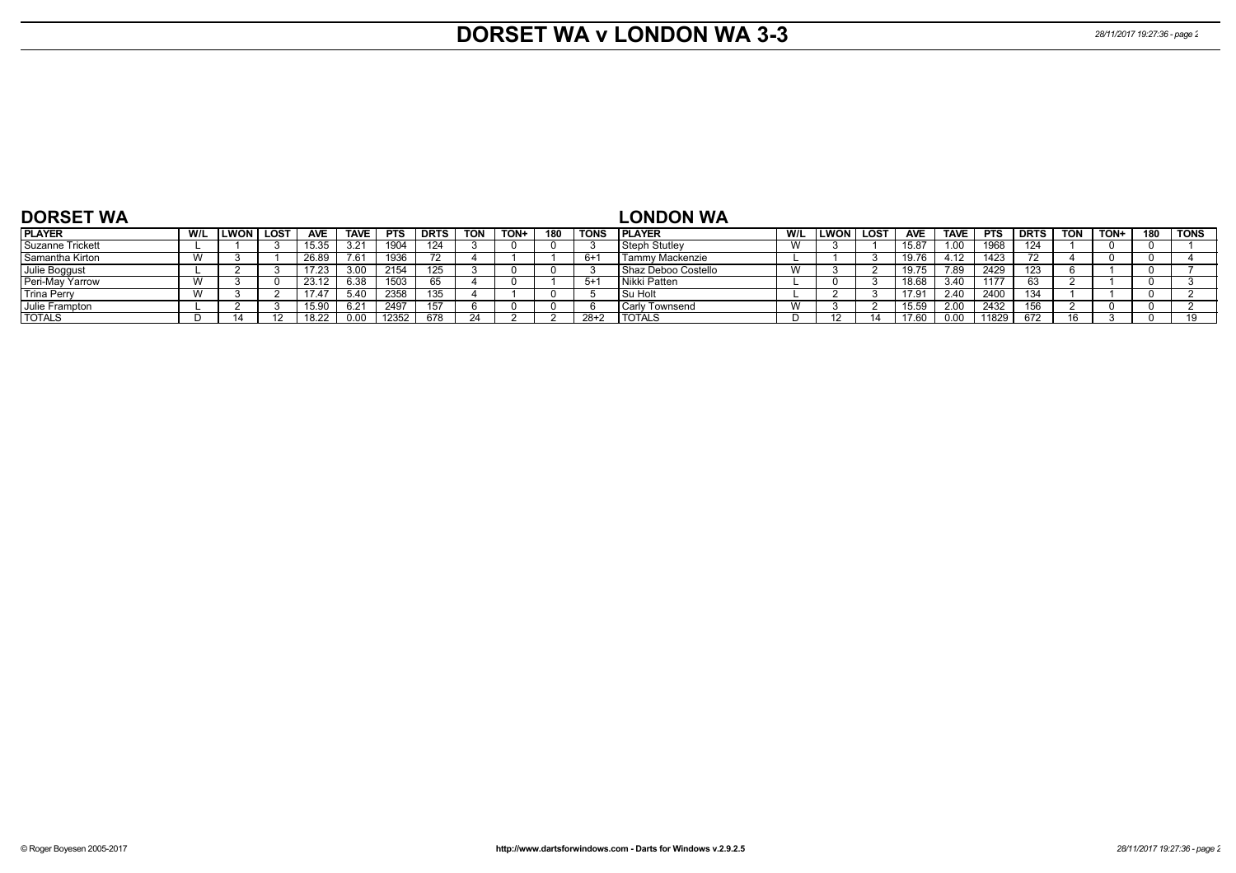## **DORSET WA v LONDON WA 3-3** *28/11/2017 19:27:36 - page 2*

| <b>DORSET WA</b>   |     |              |            |             |            |             |            |      |     |             | <b>LONDON WA</b>      |                           |             |        |            |             |            |             |            |      |     |      |
|--------------------|-----|--------------|------------|-------------|------------|-------------|------------|------|-----|-------------|-----------------------|---------------------------|-------------|--------|------------|-------------|------------|-------------|------------|------|-----|------|
| <b>PLAYER</b>      | W/L | llwon ∣ lost | <b>AVE</b> | <b>TAVE</b> | <b>PTS</b> | <b>DRTS</b> | <b>TON</b> | TON+ | 180 | <b>TONS</b> | <b>PLAYER</b>         | W/L                       | <b>LWON</b> | l lost | <b>AVE</b> | <b>TAVE</b> | <b>PTS</b> | <b>DRTS</b> | <b>TON</b> | TON+ | 180 | TONS |
| Suzanne Trickett   |     |              | 15.35      |             | 1904       | 124         |            |      |     |             | l Steph Stutlev       | $\lambda$<br><b>VV</b>    |             |        | 15.87      | .00         | 1968       | 124         |            |      |     |      |
| Samantha Kirton    |     |              | 26.89      | 7.61        | 1936       |             |            |      |     | 6+          | Tammy Mackenzie       |                           |             |        | 19.76      | 4.12        | 1423       |             |            |      |     |      |
| Julie Boggust      |     |              | 17.23      |             | 2154       | 125         |            |      |     |             | l Shaz Deboo Costello | $\mathbf{M}$<br>V V       |             |        | 19.75      | 7.89        | 2429       | 123         |            |      |     |      |
| Peri-May Yarrow    |     |              | 23.12      | G 20        | 1503       | 65          |            |      |     | 5+          | l Nikki Patten        |                           |             |        | 18.68      | 3.40        | 1177       |             |            |      |     |      |
| <b>Trina Perry</b> |     |              | 17.47      | ፣ 4ሰ        | 2358       | 135         |            |      |     |             | ' Su Holt             |                           |             |        | 17.91      | 2.40        | 2400       | 134         |            |      |     |      |
| Julie Frampton     |     |              | 15.90      |             | 2497       | 157         |            |      |     |             | <b>Carly Townsend</b> | $\mathbf{M}$<br><b>VV</b> |             |        | 15.59      | 2.00        | 2432       | 156         |            |      |     |      |
| <b>TOTALS</b>      |     |              | 18.22      |             | 12352      | 678         |            |      |     | $28+2$      | <b>TOTALS</b>         |                           |             |        | 1760       | 0.00        | 11829      | 672         |            |      |     |      |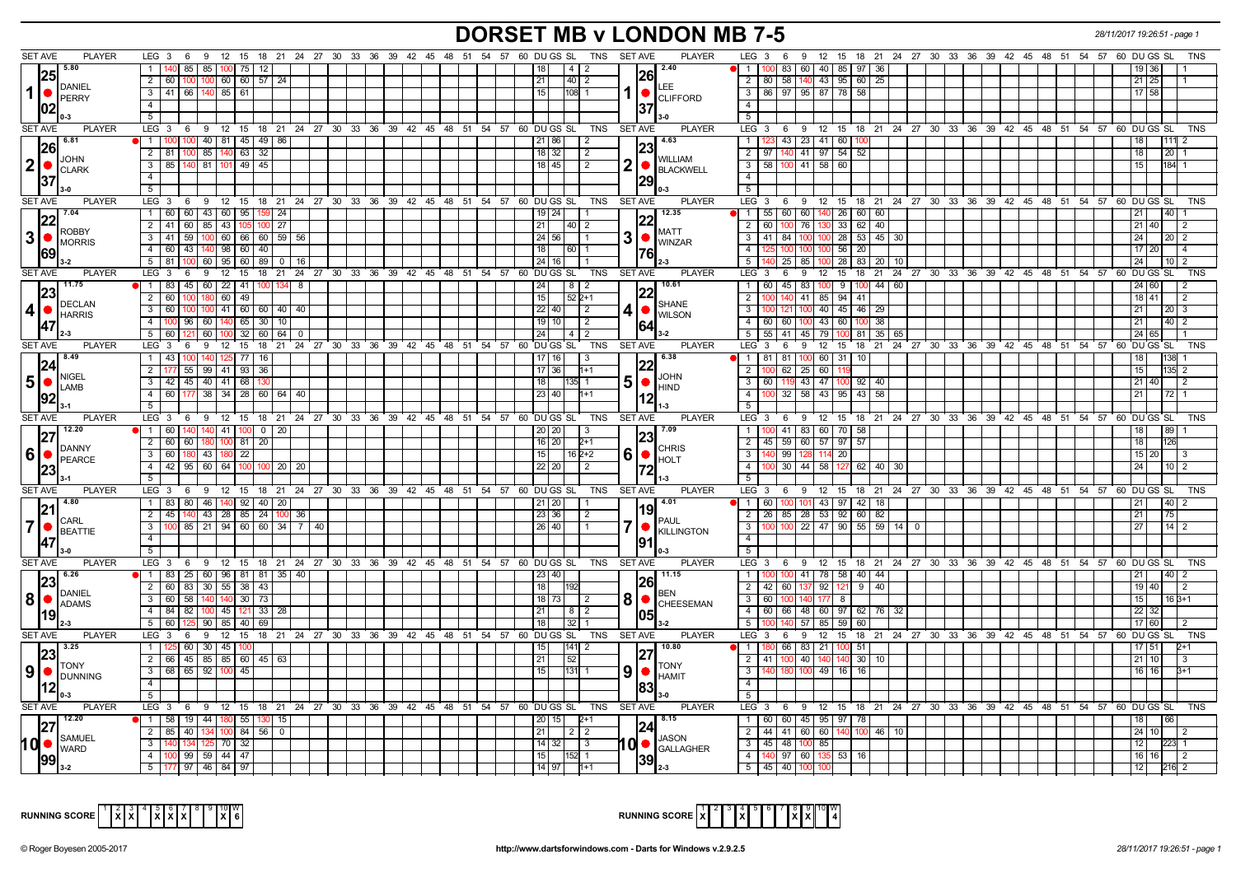### **DORSET MB v LONDON MB 7-5** *28/11/2017 19:26:51 - page 1*

| <b>SET AVE</b><br><b>PLAYER</b>                                    | $LEG_3$ 6                                                                           |                        |                      |  |  |  | 9 12 15 18 21 24 27 30 33 36 39 42 45 48 51 54 57 60 DUGS SL TNS SETAVE         | PLAYER                                  | $LEG_3$ 6<br>$\overline{9}$                                                                                |               |                 |                 |  |  |  |  | 12 15 18 21 24 27 30 33 36 39 42 45 48 51 54 57 60 DUGS SL<br>TNS |
|--------------------------------------------------------------------|-------------------------------------------------------------------------------------|------------------------|----------------------|--|--|--|---------------------------------------------------------------------------------|-----------------------------------------|------------------------------------------------------------------------------------------------------------|---------------|-----------------|-----------------|--|--|--|--|-------------------------------------------------------------------|
| 5.80                                                               | 140 85                                                                              | 85   100   75  <br> 12 |                      |  |  |  | $4 \mid 2$                                                                      | 2.40                                    | 83 60 40 85 97 36                                                                                          |               |                 |                 |  |  |  |  | 19   36                                                           |
| I25I                                                               | 2 60 100 100 60 60 57 24                                                            |                        |                      |  |  |  | 21<br>40   2                                                                    | l26l                                    | 2   80   58   140                                                                                          | 1 43 95 60 25 |                 |                 |  |  |  |  | $21 \mid 25$                                                      |
| DANIEL<br>$1$ $\bullet$                                            | 3 41 66 140 85 61                                                                   |                        |                      |  |  |  | 15 <sup>1</sup><br>108 1                                                        | LEE.                                    | 3   86   97   95   87   78   58                                                                            |               |                 |                 |  |  |  |  | $17$ 58                                                           |
| <b>PERRY</b>                                                       | 4                                                                                   |                        |                      |  |  |  |                                                                                 | <b>CLIFFORD</b>                         | $\overline{4}$                                                                                             |               |                 |                 |  |  |  |  |                                                                   |
| 1021<br>$0 - 3$                                                    | $\overline{5}$                                                                      |                        |                      |  |  |  |                                                                                 |                                         | 5                                                                                                          |               |                 |                 |  |  |  |  |                                                                   |
| <b>SET AVE</b><br><b>PLAYER</b>                                    | LEG 3 6 9 12 15 18 21 24 27 30 33 36 39 42 45 48 51 54 57 60 DUGS SL                |                        |                      |  |  |  |                                                                                 | PLAYER<br>TNS SET AVE                   | LEG 3 6 9 12 15 18 21 24 27 30 33 36 39 42 45 48 51 54 57 60 DUGS SL                                       |               |                 |                 |  |  |  |  | TNS                                                               |
| $\sqrt{6.81}$                                                      | 1   100   100   40   81   45   49   86                                              |                        |                      |  |  |  | 21 86                                                                           | 4.63                                    | $\overline{1}$<br>43 23 41 60 100                                                                          |               |                 |                 |  |  |  |  | 18 <sup>1</sup>                                                   |
| 26                                                                 | $2 \mid 81 \mid$<br>$100$ 85 $140$ 63                                               | 32                     |                      |  |  |  | 18 32<br>$\vert 2 \vert$                                                        |                                         | 97 140 41 97 54<br>$\overline{2}$                                                                          |               | 52              |                 |  |  |  |  | 18<br>20 1                                                        |
| <b>JOHN</b><br>$ 2  \bullet  _{\text{CLARK}}$                      | $3$ 85 140 81 101 49 45                                                             |                        |                      |  |  |  | 18 45<br>$\sqrt{2}$                                                             | <b>WILLIAM</b><br>2                     | $\overline{\cdot \cdot \cdot}$<br>58 100 41 58 60                                                          |               |                 |                 |  |  |  |  | 15<br>$184 - 1$                                                   |
|                                                                    | 4                                                                                   |                        |                      |  |  |  |                                                                                 | BLACKWELL                               | $\overline{4}$                                                                                             |               |                 |                 |  |  |  |  |                                                                   |
| 37<br>l 3-0                                                        | 5 <sup>5</sup>                                                                      |                        |                      |  |  |  |                                                                                 |                                         | 5                                                                                                          |               |                 |                 |  |  |  |  |                                                                   |
| <b>SET AVE</b><br><b>PLAYER</b>                                    | LEG 3 6 9 12 15 18 21 24 27 30 33 36 39 42 45 48 51 54 57 60 DUGS SL                |                        |                      |  |  |  | TNS                                                                             | <b>SET AVE</b><br><b>PLAYER</b>         | LEG 3 6 9 12 15 18 21 24 27 30 33 36 39 42 45 48 51 54 57 60 DUGS SL                                       |               |                 |                 |  |  |  |  | <b>TNS</b>                                                        |
| 17.04                                                              | 1 60 60 43 60 95 159 24                                                             |                        |                      |  |  |  | 19   24                                                                         | 12.35                                   | 55 60 60 140 26 60 60<br>$\blacksquare$                                                                    |               |                 |                 |  |  |  |  | 21                                                                |
| 22 <br><b>ROBBY</b>                                                | 2 41 60 85 43 105 100 27                                                            |                        |                      |  |  |  | $21 \mid$<br>40 I 2                                                             | <b>MATT</b>                             | $\overline{2}$<br>60   100   76   130   33   62                                                            |               | 40              |                 |  |  |  |  | $21 \overline{40}$                                                |
| $3$ $\bullet$ $\stackrel{\text{\tiny KUBPI}}{\text{\tiny MORRIS}}$ | $3   41   59   100   60   66   60   59   56$                                        |                        |                      |  |  |  | 24 56                                                                           | 3<br>WINZAR                             | $\overline{\cdot \cdot \cdot}$<br>  41   84   100   100   28   53   45   30                                |               |                 |                 |  |  |  |  | 24<br>$20 \mid 2$                                                 |
|                                                                    | 4   60   43   140   98   60   40                                                    |                        |                      |  |  |  | 18 <sup>1</sup><br>$60$   1                                                     |                                         | $\overline{4}$<br>125 100 100 100 56 20                                                                    |               |                 |                 |  |  |  |  | $17$ 20                                                           |
| l 3-2                                                              | 5 81 100 60 95 60 89 0 16                                                           |                        |                      |  |  |  | 24   16                                                                         |                                         | 5<br>140   25   85   100   28   83   20   10                                                               |               |                 |                 |  |  |  |  | 24 <sub>1</sub>                                                   |
| <b>SET AVE</b><br><b>PLAYER</b>                                    |                                                                                     |                        |                      |  |  |  | LEG 3 6 9 12 15 18 21 24 27 30 33 36 39 42 45 48 51 54 57 60 DUGS SL TNS SETAVE | <b>PLAYER</b>                           | LEG 3 6 9 12 15 18 21 24 27 30 33 36 39 42 45 48 51 54 57 60 DUGS SL                                       |               |                 |                 |  |  |  |  | TNS                                                               |
| $ 23 $ <sup>11.75</sup>                                            | 1 83 45 60 22 41 100 134 8                                                          |                        |                      |  |  |  | 24 L<br>$81$                                                                    | 10.61<br> 22                            | 60 45 83 100 9 100<br>$\overline{1}$                                                                       |               |                 | 44 60           |  |  |  |  | 24 60                                                             |
| <b>DECLAN</b>                                                      | 2 60 100 180 60 49                                                                  |                        |                      |  |  |  | 15 <sup>1</sup><br>52 2+1                                                       | <b>SHANE</b>                            | $\overline{2}$<br>100 140 41 85 94 41                                                                      |               |                 |                 |  |  |  |  | 18 41                                                             |
|                                                                    | 3 60 100 100 41 60 60 40 40                                                         |                        |                      |  |  |  | $22$ 40<br>$\sqrt{2}$                                                           | 4<br><b>WILSON</b>                      | 3<br>100 121 100 40 45 46 29                                                                               |               |                 |                 |  |  |  |  | 21 I<br>$20 \mid 3$                                               |
| 47                                                                 | 4 100 96 60 140 65 30 10                                                            |                        |                      |  |  |  | 19   10  <br>$\sqrt{2}$                                                         |                                         | 60 60 100<br>4                                                                                             | 43 60 100     |                 | 38 <sup>1</sup> |  |  |  |  | 21<br>$40 \mid 2$                                                 |
| l 2-3                                                              | 5 60 121                                                                            | 60 100 32              | 60 64<br>$\mathbf 0$ |  |  |  | $24 \mid$<br>4   2                                                              |                                         | $5\overline{5}$<br>55   41   45   79   100   81   35   65                                                  |               |                 |                 |  |  |  |  | $24 \ 65$                                                         |
| <b>SET AVE</b><br><b>PLAYER</b><br>18.49                           | LEG 3 6 9 12 15 18 21 24 27 30 33 36 39 42 45 48 51 54 57 60 DUGS SL TNS            |                        |                      |  |  |  |                                                                                 | <b>SET AVE</b><br><b>PLAYER</b><br>6.38 | LEG <sup>3</sup><br>6<br><sup>9</sup>                                                                      |               |                 |                 |  |  |  |  | 12 15 18 21 24 27 30 33 36 39 42 45 48 51 54 57 60 DUGS SL        |
| 24                                                                 | 1 43 100 140 125 77                                                                 | 16                     |                      |  |  |  | 17   16<br>-3                                                                   | 122                                     | 81 81 100<br>$\overline{1}$                                                                                | 60 31 10      |                 |                 |  |  |  |  | 18<br>35 P                                                        |
| <b>NIGEL</b>                                                       | 2   177   55   99   41   93   36<br>3 42 45 40 41 68                                |                        |                      |  |  |  | $17$ 36<br>$1+1$                                                                | <b>JOHN</b>                             | $\overline{2}$<br>62<br>$\sqrt{25}$<br>60<br>$\overline{\mathbf{3}}$<br>60   119   43   47   100   92   40 |               |                 |                 |  |  |  |  | 15<br>$21 \ 40$                                                   |
| <b>50</b><br>LAMB                                                  | 4 60 177 38 34 28 60 64 40                                                          |                        |                      |  |  |  | 18 <sup>1</sup><br>35I 1<br>23 40<br>l1+1                                       | 5<br>$\bullet$<br><b>HIND</b>           | $\overline{4}$<br>100 32 58 43 95 43 58                                                                    |               |                 |                 |  |  |  |  | 21<br>$72$ 1                                                      |
|                                                                    | $5-1$                                                                               |                        |                      |  |  |  |                                                                                 |                                         |                                                                                                            |               |                 |                 |  |  |  |  |                                                                   |
|                                                                    |                                                                                     |                        |                      |  |  |  |                                                                                 |                                         |                                                                                                            |               |                 |                 |  |  |  |  |                                                                   |
|                                                                    |                                                                                     |                        |                      |  |  |  |                                                                                 |                                         | $\overline{5}$                                                                                             |               |                 |                 |  |  |  |  |                                                                   |
| <b>SET AVE</b><br>PLAYER                                           |                                                                                     |                        |                      |  |  |  | LEG 3 6 9 12 15 18 21 24 27 30 33 36 39 42 45 48 51 54 57 60 DUGS SL TNS SETAVE | <b>PLAYER</b>                           | LEG 3 6 9 12 15 18 21 24 27 30 33 36 39 42 45 48 51 54 57 60 DUGS SL                                       |               |                 |                 |  |  |  |  | <b>TNS</b>                                                        |
| $\sqrt{12.20}$<br>127                                              | 1 60 140 140 41 100 0 20                                                            |                        |                      |  |  |  | 20   20<br>l 3                                                                  | 7.09<br>I23I                            | 100 41 83 60 70 58<br>$\overline{1}$                                                                       |               |                 |                 |  |  |  |  | 18                                                                |
| DANNY                                                              | 2 60 60 180 100 81 20                                                               |                        |                      |  |  |  | $16$   20<br>$2+1$                                                              | <b>CHRIS</b>                            | $\overline{2}$<br>45 59 60 57 97 57                                                                        |               |                 |                 |  |  |  |  | 18 I                                                              |
|                                                                    | 3 60 180 43 180 22                                                                  |                        |                      |  |  |  | $15$   $16$ $2+2$<br>22 20                                                      | $6$ $\bullet$<br><b>HOLT</b>            | $\overline{\mathbf{3}}$<br>140 99 128<br>$\overline{4}$                                                    | 114 20        |                 | 40 30           |  |  |  |  | 15 20<br>24                                                       |
|                                                                    | 4 4 42 95 60 64 100 100 20 20<br>5                                                  |                        |                      |  |  |  | $\vert 2 \vert$                                                                 |                                         | 100 30 44 58 127<br>5                                                                                      |               | 62              |                 |  |  |  |  |                                                                   |
| SET AVE<br><b>PLAYER</b>                                           | LEG 3 6 9 12 15 18 21 24 27 30 33 36 39 42 45 48 51 54 57 60 DUGS SL                |                        |                      |  |  |  | TNS                                                                             | <b>PLAYER</b><br><b>SET AVE</b>         | LEG 3 6 9 12 15 18 21 24 27 30 33 36 39 42 45 48 51 54 57 60 DUGS SL                                       |               |                 |                 |  |  |  |  | <b>TNS</b>                                                        |
| $\blacksquare$ 4.80                                                | 1   83   80   46   140   92   40   20                                               |                        |                      |  |  |  |                                                                                 | 4.01                                    | 1   60   100   101   43   97   42   18                                                                     |               |                 |                 |  |  |  |  | 21                                                                |
| 21                                                                 | 2 45 140 43 28 85 24 100 36                                                         |                        |                      |  |  |  | 23 36                                                                           | 119                                     | 26   85   28   53   92   60   82  <br>$\overline{2}$                                                       |               |                 |                 |  |  |  |  | 21<br>75                                                          |
| <b>I</b> CARL                                                      | 100 85 21 94 60 60 34 7 40<br>3 <sup>1</sup>                                        |                        |                      |  |  |  | 26 40                                                                           | <b>PAUL</b>                             | 100 100 22 47 90 55 59 14 0<br>$\overline{\mathbf{3}}$                                                     |               |                 |                 |  |  |  |  | 27<br>$14$ 2                                                      |
| $\overline{7}$<br><b>BEATTIE</b>                                   | $\overline{4}$                                                                      |                        |                      |  |  |  |                                                                                 | <b>KILLINGTON</b>                       | $\overline{4}$                                                                                             |               |                 |                 |  |  |  |  |                                                                   |
| $13-0$                                                             | 5                                                                                   |                        |                      |  |  |  |                                                                                 |                                         | $\overline{5}$                                                                                             |               |                 |                 |  |  |  |  |                                                                   |
| SET AVE<br><b>PLAYER</b>                                           |                                                                                     |                        |                      |  |  |  | LEG 3 6 9 12 15 18 21 24 27 30 33 36 39 42 45 48 51 54 57 60 DUGS SL TNS SETAVE | <b>PLAYER</b>                           | LEG 3 6 9 12 15 18 21 24 27 30 33 36 39 42 45 48 51 54 57 60 DUGS SL                                       |               |                 |                 |  |  |  |  | <b>TNS</b>                                                        |
| $\blacksquare$ 6.26                                                | 1 83 25 60 96 81 81 35 40                                                           |                        |                      |  |  |  | 23 40                                                                           | 11.15                                   | $100$ 100 41 78 58 40 44<br>$\overline{1}$                                                                 |               |                 |                 |  |  |  |  | 21<br>$\overline{40}$   2                                         |
| 23                                                                 | 2 60 83 30 55 38 43                                                                 |                        |                      |  |  |  | 18 <sup>1</sup>                                                                 | 1261                                    | $\overline{2}$<br>42 60 137                                                                                | 192112191401  |                 |                 |  |  |  |  | 19 40                                                             |
| DANIEL<br> 8 ● <br><b>ADAMS</b>                                    | 3 60 58 140 140 30 73                                                               |                        |                      |  |  |  | 18   73  <br>$\vert$ 2                                                          | 8<br><b>CHEESEMAN</b>                   | $\overline{3}$<br>60 100 140 177 8                                                                         |               |                 |                 |  |  |  |  | 15<br>$16B + 1$                                                   |
|                                                                    | 4 84 82 100 45 121 33 28                                                            |                        |                      |  |  |  | 211<br>8   2                                                                    |                                         | 60 66 48 60 97 62 76 32<br>$\overline{4}$                                                                  |               |                 |                 |  |  |  |  | 22 32                                                             |
| II 2-3                                                             | 5 60 125 90 85 40 69                                                                |                        |                      |  |  |  | 18  <br>3211                                                                    |                                         | 5<br>100 140 57 85 59 60                                                                                   |               |                 |                 |  |  |  |  | 17 60                                                             |
| <b>SET AVE</b><br><b>PLAYER</b>                                    |                                                                                     |                        |                      |  |  |  | LEG 3 6 9 12 15 18 21 24 27 30 33 36 39 42 45 48 51 54 57 60 DUGS SL TNS SETAVE | <b>PLAYER</b>                           | LEG 3 6 9 12 15 18 21 24 27 30 33 36 39 42 45 48 51 54 57 60 DUGS SL                                       |               |                 |                 |  |  |  |  | TNS                                                               |
| $22^{\sqrt{3.25}}$                                                 | 1   125   60   30   45   100                                                        |                        |                      |  |  |  | $ 141 $ 2<br>15 <sub>1</sub>                                                    | 10.80                                   | 180 66 83 21 100 51<br>$\overline{1}$                                                                      |               |                 |                 |  |  |  |  | 17 51                                                             |
| <b>TONY</b>                                                        | 2 66 45 85 85 60 45 63                                                              |                        |                      |  |  |  | 52<br>21                                                                        | <b>TONY</b>                             | 41   100   40   140   140   30  <br>$\overline{2}$                                                         |               | 10 <sup>1</sup> |                 |  |  |  |  | $21 \ 10$                                                         |
| $90$ $\sim$ $\sim$                                                 | 3   68   65   92   100   45<br>$\overline{4}$                                       |                        |                      |  |  |  | 131  1<br>15 I                                                                  | 9<br><b>HAMIT</b>                       | $\overline{\mathbf{3}}$<br>140 180 100<br>$\overline{4}$                                                   | 49 16 16      |                 |                 |  |  |  |  | $16$ 16                                                           |
| 12<br>$0 - 3$                                                      |                                                                                     |                        |                      |  |  |  |                                                                                 |                                         |                                                                                                            |               |                 |                 |  |  |  |  |                                                                   |
|                                                                    | 5                                                                                   |                        |                      |  |  |  |                                                                                 |                                         | 5                                                                                                          |               |                 |                 |  |  |  |  |                                                                   |
| <b>SET AVE</b><br><b>PLAYER</b><br>12.20                           |                                                                                     |                        |                      |  |  |  | LEG 3 6 9 12 15 18 21 24 27 30 33 36 39 42 45 48 51 54 57 60 DUGS SL TNS SETAVE | <b>PLAYER</b><br>8.15                   | LEG 3 6 9 12 15 18 21 24 27 30 33 36 39 42 45 48 51 54 57 60 DUGS SL                                       |               |                 |                 |  |  |  |  | <b>TNS</b><br>166                                                 |
|                                                                    | 1   58   19   44   180   55   130   15                                              |                        |                      |  |  |  | $20$   15  <br>$2+1$<br>21<br>$2 \mid 2$                                        | 124                                     | 60 60 45 95 97 78<br>$\overline{1}$<br>$\overline{2}$                                                      |               |                 | $146$ 10        |  |  |  |  | 18<br>$24 \mid 10$                                                |
| <b>SAMUEL</b>                                                      | $2 \mid 85 \mid 40 \mid 134 \mid 100 \mid 84 \mid 56 \mid 0$<br>3 140 134 125 70 32 |                        |                      |  |  |  | $\sqrt{3}$<br>14 32                                                             | <b>JASON</b>                            | 44 41 60 60 140 100<br>$\overline{3}$<br>45 48 100<br>85                                                   |               |                 |                 |  |  |  |  | 12 <sup>12</sup>                                                  |
| $10$ $\bullet$ $\frac{3700000}{WARD}$                              | 4 100 99 59 44 47                                                                   |                        |                      |  |  |  | 15 <sup>1</sup><br>152 11                                                       | 10 ●<br><b>GALLAGHER</b>                | 4   140   97   60   135   53   16                                                                          |               |                 |                 |  |  |  |  | 16 16                                                             |
|                                                                    | 5   177   97   46   84   97                                                         |                        |                      |  |  |  | 14 97<br>l1+1                                                                   |                                         | 5 45 40 100                                                                                                |               |                 |                 |  |  |  |  | 12<br>216 2                                                       |



|--|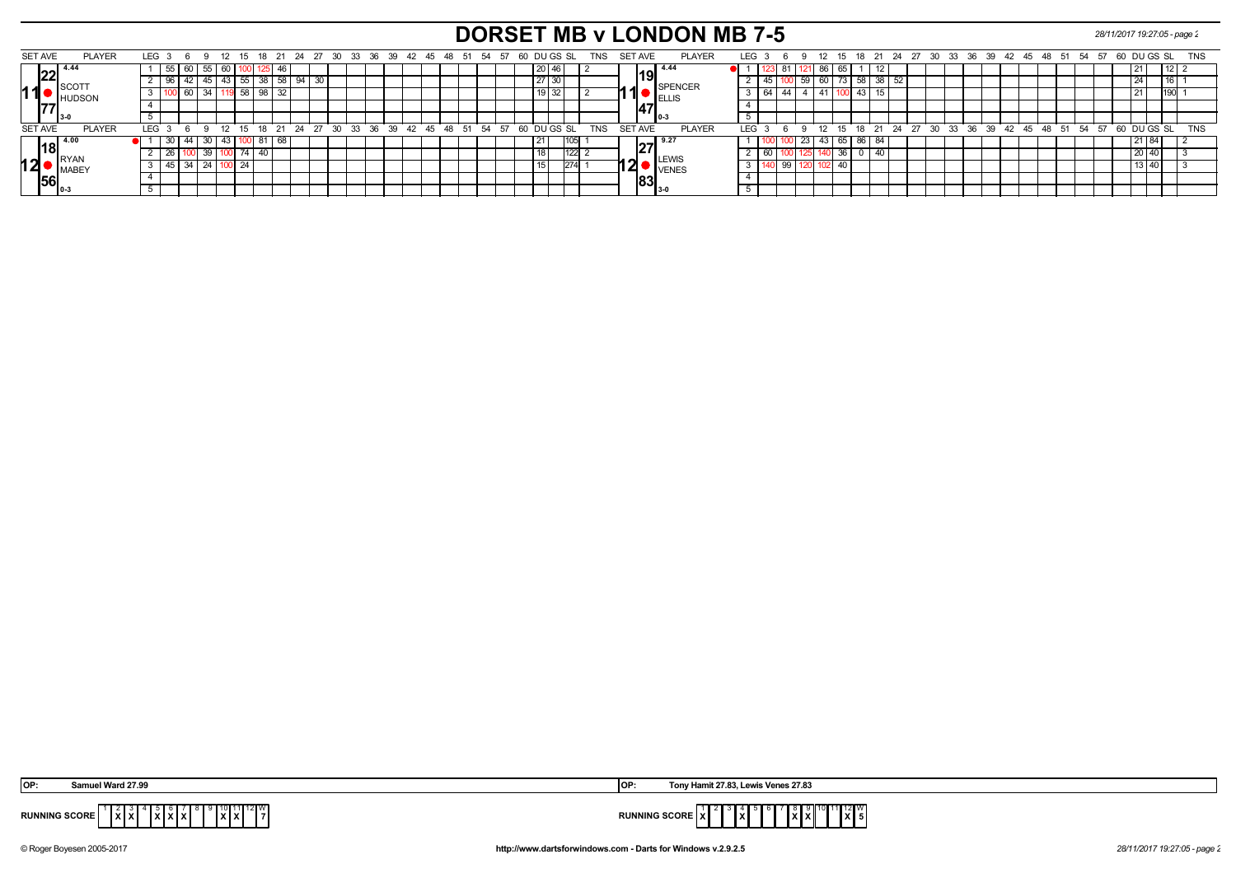# **DORSET MB v LONDON MB 7-5** *28/11/2017 19:27:05 - page 2*

|    | SET AVE        | <b>PLAYER</b>       | LEG <sub>3</sub> |                 |         | - 12 | -15            |           |       |    |    | 18  21  24  27  30  33  36  39  42  45  48  51  54  57  60  DU GS  SL |  |  |  |  |  |  |                 |      |      | TNS        | <b>SET AVE</b> |     |                             | <b>PLAYER</b>         |            | LEG |    |    |                  |      | 12 15 |            |      |  |  |  | 18 21 24 27 30 33 36 39 42 45 48 51             |  | - 54 | - 57 | 60 DU GS SL   |        | TNS        |
|----|----------------|---------------------|------------------|-----------------|---------|------|----------------|-----------|-------|----|----|-----------------------------------------------------------------------|--|--|--|--|--|--|-----------------|------|------|------------|----------------|-----|-----------------------------|-----------------------|------------|-----|----|----|------------------|------|-------|------------|------|--|--|--|-------------------------------------------------|--|------|------|---------------|--------|------------|
|    |                |                     |                  |                 |         |      |                |           |       |    |    |                                                                       |  |  |  |  |  |  |                 |      |      |            |                |     |                             |                       |            |     |    | რ. |                  |      |       |            |      |  |  |  |                                                 |  |      |      |               |        |            |
|    | פר             | 4.44                |                  | 60              | 55   60 |      |                | גאו וטטו  |       |    |    |                                                                       |  |  |  |  |  |  | 20 <sub>1</sub> |      |      |            |                |     | l19l                        | 14.44                 |            |     |    |    |                  | 80 I |       |            |      |  |  |  |                                                 |  |      |      |               | ' 12 I |            |
|    |                | <b>I</b> SCOTT      |                  |                 |         |      | 55             |           | -38 J |    | 94 | 30                                                                    |  |  |  |  |  |  | 27              | I 3U |      |            |                |     |                             | <b>SPENCER</b>        |            |     |    |    | $\vert 59 \vert$ |      |       | 60 73 58   | 38 I |  |  |  |                                                 |  |      |      |               |        |            |
| 11 |                | <b>HUDSON</b>       |                  |                 |         |      |                | $58$   98 |       | 32 |    |                                                                       |  |  |  |  |  |  |                 | . 32 |      |            |                |     |                             | ELLIS                 |            |     | 64 |    |                  |      |       | $\vert$ 43 |      |  |  |  |                                                 |  |      |      |               |        |            |
|    |                |                     |                  |                 |         |      |                |           |       |    |    |                                                                       |  |  |  |  |  |  |                 |      |      |            |                | .47 |                             |                       |            |     |    |    |                  |      |       |            |      |  |  |  |                                                 |  |      |      |               |        |            |
|    |                |                     |                  |                 |         |      |                |           |       |    |    |                                                                       |  |  |  |  |  |  |                 |      |      |            |                |     |                             |                       |            |     |    |    |                  |      |       |            |      |  |  |  |                                                 |  |      |      |               |        |            |
|    | <b>SET AVE</b> | <b>PLAYER</b>       | LEG <sub>3</sub> |                 |         | 12   |                |           |       |    |    | 15 18 21 24 27 30 33 36 39 42 45 48 51 54 57 60 DU GS SL              |  |  |  |  |  |  |                 |      |      | <b>TNS</b> | <b>SET AVE</b> |     |                             | <b>PLAYER</b>         | <b>LEG</b> |     |    |    | $\sim$           |      |       |            |      |  |  |  | 12 15 18 21 24 27 30 33 36 39 42 45 48 51 54 57 |  |      |      | $60$ DU GS SL |        | <b>TNS</b> |
|    |                | $\blacksquare$ 4.00 |                  | 44              | 30   43 |      |                | 1001 81   |       |    |    |                                                                       |  |  |  |  |  |  | 21              |      |      |            |                |     |                             | $127$ <sup>9.27</sup> |            |     |    |    | 23 <sub>1</sub>  |      |       | 43 65 86   | 84   |  |  |  |                                                 |  |      |      | 21   84       |        |            |
|    |                | <b>RYAN</b>         |                  |                 |         |      | $\overline{ }$ |           |       |    |    |                                                                       |  |  |  |  |  |  |                 |      | 1122 |            |                |     |                             |                       |            |     | 60 |    |                  |      |       |            |      |  |  |  |                                                 |  |      |      |               |        |            |
| 12 |                | <b>MABEY</b>        |                  | 34 <sub>1</sub> |         |      | 24             |           |       |    |    |                                                                       |  |  |  |  |  |  |                 |      |      |            |                |     |                             | <b>VENES</b>          |            |     |    |    |                  |      |       |            |      |  |  |  |                                                 |  |      |      | 1314          |        |            |
|    |                |                     |                  |                 |         |      |                |           |       |    |    |                                                                       |  |  |  |  |  |  |                 |      |      |            |                |     | $\left\  83 \right\ _{3.0}$ |                       |            |     |    |    |                  |      |       |            |      |  |  |  |                                                 |  |      |      |               |        |            |
|    |                |                     |                  |                 |         |      |                |           |       |    |    |                                                                       |  |  |  |  |  |  |                 |      |      |            |                |     |                             |                       |            |     |    |    |                  |      |       |            |      |  |  |  |                                                 |  |      |      |               |        |            |

| OP:                  | Samuel Ward 27.99                   | - IOP.               | Tony Hamit 27.83, Lewis Venes 27.83    |
|----------------------|-------------------------------------|----------------------|----------------------------------------|
| <b>RUNNING SCORE</b> | $\overline{ \mathbf{x} }$<br>.<br>. | <b>RUNNING SCORL</b> | $\frac{12}{1}$ $\frac{W}{5}$<br>"<br>. |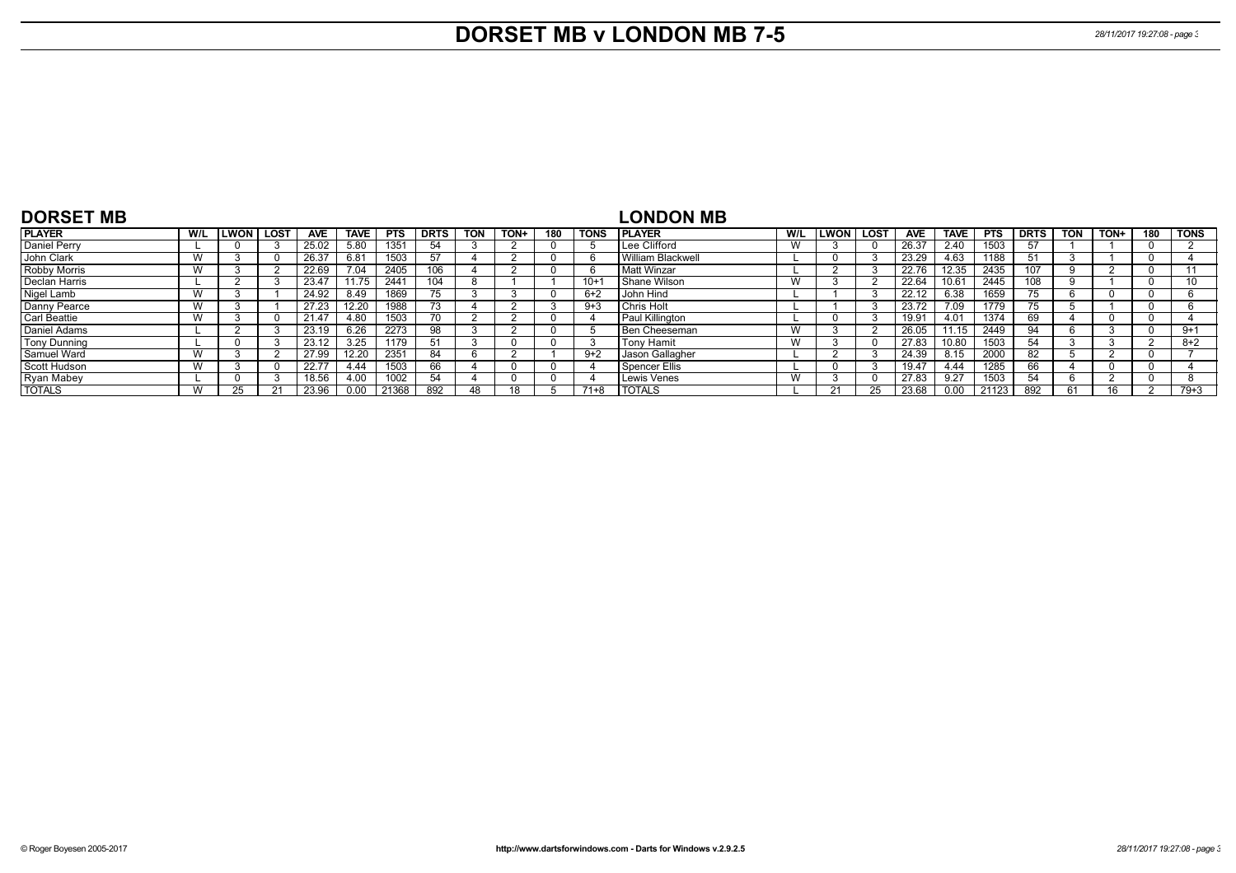## **DORSET MB v LONDON MB 7-5** *28/11/2017 19:27:08 - page 3*

| <b>DORSET MB</b>    |     |             |      |            |             |            |             |            |      |          |             | LONDON MB                |     |              |          |       |             |            |             |            |      |     |             |
|---------------------|-----|-------------|------|------------|-------------|------------|-------------|------------|------|----------|-------------|--------------------------|-----|--------------|----------|-------|-------------|------------|-------------|------------|------|-----|-------------|
| <b>PLAYER</b>       | W/L | <b>LWON</b> | LOST | <b>AVE</b> | <b>TAVE</b> | <b>PTS</b> | <b>DRTS</b> | <b>TON</b> | TON+ | 180      | <b>TONS</b> | <b>PLAYER</b>            | W/L | <b>ILWON</b> | LOST     | AVE   | <b>TAVE</b> | <b>PTS</b> | <b>DRTS</b> | <b>TON</b> | TON+ | 180 | <b>TONS</b> |
| Daniel Perry        |     |             |      | 25.02      | 5.80        | 1351       | 54          |            |      |          |             | Lee Clifford             | W   |              | - 0      | 26.37 | 2.40        | 1503       |             |            |      |     |             |
| John Clark          |     |             |      | 26.37      | 6.81        | 1503       | 57          |            |      |          |             | <b>William Blackwell</b> |     |              |          | 23.29 | 4.63        | 1188       |             |            |      |     |             |
| <b>Robby Morris</b> |     |             |      | 22.69      | 7.04        | 2405       | 106         |            |      |          |             | <b>Matt Winzar</b>       |     |              |          | 22.76 | 12.35       | 2435       | 107         |            |      |     |             |
| Declan Harris       |     |             |      | 23.47      | 11.75       | 2441       | 104         |            |      |          | $10+1$      | Shane Wilson             |     |              |          | 22.64 | 10.61       | 2445       | 108         |            |      |     |             |
| Nigel Lamb          | W   |             |      | 24.92      | 8.49        | 1869       | 75          |            |      | -0       | $6+2$       | John Hind                |     |              |          | 22.12 | 6.38        | 1659       |             |            |      |     |             |
| Danny Pearce        |     |             |      | 27.23      | 12.20       | 1988       | 73          |            |      |          | $9 + 3$     | Chris Holt               |     |              |          | 23.72 | 7.09        | 1779       | 75          |            |      |     |             |
| <b>Carl Beattie</b> |     |             |      | 21.47      | 4.80        | 1503       | 70          |            |      |          |             | Paul Killington          |     |              |          | 19.91 | 4.01        | 1374       | 69          |            |      |     |             |
| Daniel Adams        |     |             |      | 23.19      | 6.26        | 2273       | 98          |            |      | - 0      |             | l Ben Cheeseman          | W   |              |          | 26.05 | 11.15       | 2449       | 94          |            |      |     | $9+1$       |
| <b>Tony Dunning</b> |     |             |      | 23.12      | 3.25        | 1179       |             |            |      | $\Omega$ |             | Tony Hamit               | W   |              | $\Omega$ | 27.83 | 10.80       | 1503       | 54          |            |      |     | $8+2$       |
| Samuel Ward         |     |             |      | 27.99      | 12.20       | 2351       | 84          |            |      |          | $9+2$       | Jason Gallagher          |     |              | -3       | 24.39 | 8.15        | 2000       | 82          |            |      |     |             |
| Scott Hudson        |     |             |      | 22.77      | 4.44        | 1503       | 66          |            |      |          |             | Spencer Ellis            |     |              |          | 19.47 | 4.44        | 1285       | 66          |            |      |     |             |
| Ryan Mabey          |     |             |      | 18.56      | 4.00        | 1002       |             |            |      |          |             | Lewis Venes              |     |              | - 0      | 27.83 | 9.27        | 1503       | 54          |            |      |     |             |
| <b>TOTALS</b>       |     |             |      | 23.96      | 0.00        | 21368      | 892         | 48         | 18   |          | $71 + 8$    | <b>TOTALS</b>            |     |              | 25       | 23.68 | 0.00        | 21123      | 892         |            |      |     | $79 + 3$    |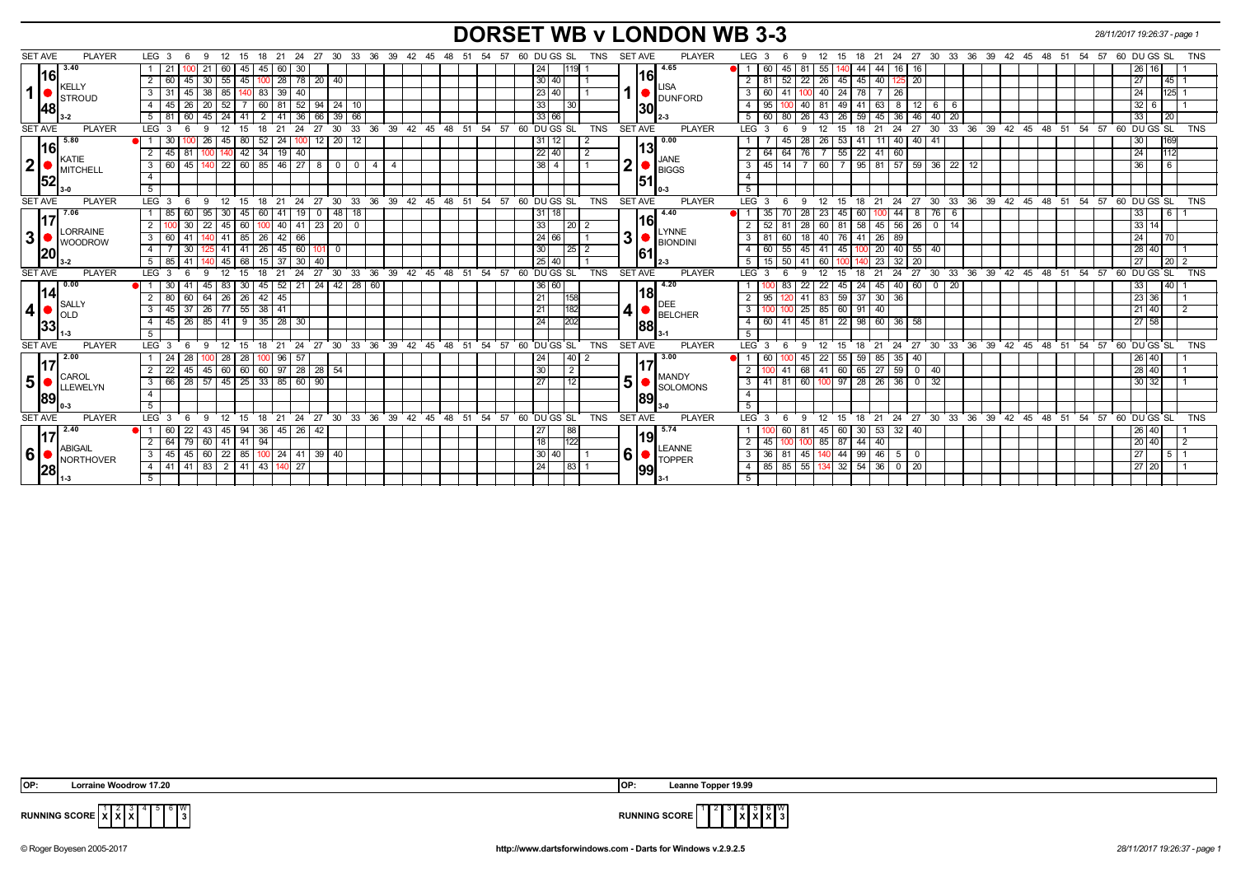## **DORSET WB v LONDON WB 3-3** *28/11/2017 19:26:37 - page 1*

| <b>SET AVE</b><br><b>PLAYER</b>                                                                     |                                                                              |                                   |                                                               | <b>PLAYER</b>                                                   |                                                                                                                                                                        |
|-----------------------------------------------------------------------------------------------------|------------------------------------------------------------------------------|-----------------------------------|---------------------------------------------------------------|-----------------------------------------------------------------|------------------------------------------------------------------------------------------------------------------------------------------------------------------------|
| 3.40                                                                                                | LEG 3<br>18<br>21<br>- 9<br>12<br>- 15<br>-6                                 |                                   | 24 27 30 33 36 39 42 45 48 51 54 57                           | 60 DU GS SL<br><b>TNS</b><br><b>SET AVE</b><br>4.65             | LEG 3<br>18  21  24  27  30  33  36  39  42  45  48  51  54  57  60  DU  GS  SL<br>TNS<br>12<br>- 15<br>-9                                                             |
| 16                                                                                                  | 60<br> 45 <br>45<br>21                                                       | 60 30                             |                                                               | 24<br>119 <br>16                                                | 44<br>44<br>16<br>60<br>45<br>81<br>55<br>16<br>26 16                                                                                                                  |
| KELLY                                                                                               | $2 \mid 60$<br>45<br>30<br>55<br>45                                          | $28$ 78<br>20 <sub>1</sub><br>40  |                                                               | 30<br>40<br><b>LISA</b>                                         | $\overline{22}$<br>45<br>20<br>2<br>26 45<br>40<br>27 <sup>1</sup><br>45<br>81<br>52                                                                                   |
| $\mathbf{1}$<br>STROUD                                                                              | 39<br>45<br>38<br>85<br>83<br>3 3 3 1                                        | 40                                |                                                               | 23 40<br><b>O</b> DUNFORD                                       | $\overline{25}$ 1<br>3<br>60<br>78<br>24<br>41<br>40<br>24<br>-26                                                                                                      |
| 148l                                                                                                | 26<br>52<br><b>20</b><br>4 I<br>45<br>60 I<br>81                             | 52<br>94<br>24 I<br>-10           |                                                               | 33<br>30 <sup>2</sup><br> 30                                    | 12 <sub>1</sub><br>$32 \mid 6$<br>$\overline{4}$<br>95<br>40<br>41<br>-81<br>49<br>63<br>- 8<br>- 6                                                                    |
|                                                                                                     | 60<br>5 81<br>45<br>24<br>41<br>$\overline{2}$                               | 36<br>39<br>66<br>66              |                                                               | 33 66                                                           | 46<br>5<br>26<br>59<br>33 <sup>1</sup><br>60<br>45 36<br>40<br>$\overline{20}$<br>80<br>43<br>26                                                                       |
| <b>SET AVE</b><br><b>PLAYER</b>                                                                     | 12<br>18<br>LEG <sup>3</sup><br><b>q</b><br>15                               | 30<br>33<br>24<br>27<br>36        | 39 42 45 48 51<br>54 57                                       | 60 DU GS SL<br><b>TNS</b><br><b>SET AVE</b><br><b>PLAYER</b>    | $27^{\circ}30^{\circ}$<br>60 DU GS SL<br>LEG 3<br>12<br>18<br>21<br>24<br>33 36 39 42 45 48 51 54 57<br><b>TNS</b><br>9<br>15                                          |
| 5.80<br> 16                                                                                         | 30<br>26<br>80<br>  52<br>24<br>45                                           | $12$ 20 12<br>าบบ                 |                                                               | 0.00<br>31<br>12<br>13l                                         | $11$ $40$ $\overline{)40}$ $\overline{)41}$<br>28<br>26 53<br>30 <sub>1</sub><br>41                                                                                    |
| $\overline{\phantom{a}}$ KATIE                                                                      | $\overline{2}$<br>42 34 19 40<br>45<br>81                                    |                                   |                                                               | 22 40<br>$\overline{2}$<br>JANE                                 | 22<br>24<br>64<br>76<br>$7 \mid 55$<br>112<br>$\overline{2}$<br>  64  <br>41 60                                                                                        |
| 2 <br>MITCHELL                                                                                      | $3 \mid 60$<br>45                                                            | 22 60 85 46 27 8 0 0              | 4 I<br>-4                                                     | $\overline{\mathbf{2}}$<br>38<br>$\overline{4}$<br><b>BIGGS</b> | 60 7 95 81 57 59 36 22 12<br>36<br>$\overline{\mathbf{3}}$<br>$45$ 14 $\overline{7}$<br>l 6                                                                            |
| 52                                                                                                  | $\overline{4}$                                                               |                                   |                                                               | 51                                                              | $\overline{4}$                                                                                                                                                         |
|                                                                                                     | 5                                                                            |                                   |                                                               |                                                                 | $5\overline{5}$                                                                                                                                                        |
| <b>SET AVE</b><br><b>PLAYER</b>                                                                     | $LEG_36$<br>- 9<br>12<br>18<br>21<br>- 15                                    | 24 27<br>30                       | 33 36 39 42 45 48 51 54 57                                    | 60 DU GS SL<br><b>SET AVE</b><br><b>TNS</b><br><b>PLAYER</b>    | 21 24 27 30 33 36 39 42 45 48 51 54 57 60 DUGS SL TNS<br>LEG <sub>3</sub><br>12<br>18<br>9<br>15<br>-6                                                                 |
| 7.06                                                                                                | 30<br>95<br>45<br>l 85<br>60<br>  60                                         | 48 18<br>19<br>- 0                |                                                               | 4.40<br>31<br>18                                                | 28<br>60<br>0 44<br>33<br>23<br>8<br><b>16</b><br>M 1<br>35<br>l 45<br>76<br>70<br>6                                                                                   |
| LORRAINE<br>3<br><b>WOODROW</b><br> 20 <br><b>PLAYER</b><br><b>SET AVE</b><br>0.00<br> 14 <br>SALLY | $2^{\circ}$<br>30<br>22<br>45<br>60   100                                    | 40 41 23 20 0                     |                                                               | 16 <br>33<br>$\sqrt{20}$ 2                                      | $33 \mid 14$<br>58<br>$145$ 56 26 0 14<br>$\overline{2}$<br>52<br>28<br>60 81<br>l 81                                                                                  |
|                                                                                                     | $3 \mid 60$<br>41<br>85<br>$\vert$ 26<br>41                                  | $42 \mid 66$                      |                                                               | <b>LYNNE</b><br>3<br>24 66<br><b>BIONDINI</b>                   | 24<br>3<br>18 <sup>1</sup><br>40 76<br>41<br>$26 \mid 89$<br>81<br>l 60<br>170                                                                                         |
|                                                                                                     | $-4$<br>30<br>41<br>$\sqrt{26}$<br>5 41                                      | 45 60 101<br>$\mathbf 0$          |                                                               | 30<br> 25 2<br>61                                               | $\overline{4}$<br>60<br>55<br>45<br>$41 \overline{45}$<br>20   40   55   40<br>28 40<br>100                                                                            |
|                                                                                                     | 68<br>$5 \overline{85}$<br>41<br>45<br>$\sqrt{15}$                           | $37 \mid 30$<br>40                |                                                               | 25<br>40                                                        | 5<br>$15$ 50<br>$23 \mid 32 \mid$<br>$\overline{20}$<br>27<br>$\sqrt{20}$ 2<br>41<br>60<br>140                                                                         |
|                                                                                                     | LEG <sub>3</sub><br>12<br>18<br>15<br>21<br>6<br>9                           | 24<br>27                          | 30 33 36 39 42 45 48 51 54 57 60 DUGS SL                      | <b>TNS</b><br>SET AVE<br><b>PLAYER</b>                          | 27 30 33 36 39 42 45 48 51 54 57 60 DUGS SL<br>$LEG^{\prime}$ 3<br>12<br>21<br>$^{\circ}$ 24<br>- 15<br><b>TNS</b><br>9<br>18                                          |
|                                                                                                     | $\overline{30}$<br>83<br>30   45<br>41<br>45                                 | $42$ 28 60<br>$52$   21   24      |                                                               | 4.20<br>36 60                                                   | 45 40 60 0 20<br>$\overline{22}$<br>24<br>33<br>140<br>$22$ 45<br>83                                                                                                   |
|                                                                                                     | 64   26   26   42  <br>45<br>$2 \overline{80}$<br>60                         |                                   |                                                               | 18 <br>21<br>158                                                | 37<br>41<br>83 59<br>23 36<br>95<br>$30 \mid 36$<br>1201                                                                                                               |
| $\vert$                                                                                             | 37<br>$26$ 77 55 38 41<br>$3 \mid 45$                                        |                                   |                                                               | <b>DEE</b><br>$\vert \mathbf{4} \vert$<br>21<br>182             | 25<br>85 60<br>3<br>91<br>21 40<br>40                                                                                                                                  |
| $\blacksquare$ OLD                                                                                  | $26$ 85 41<br> 35 28 30<br>$4 \mid 45$<br>9                                  |                                   |                                                               | BELCHER<br>24<br>202<br>88                                      | 60 41 45<br>98<br>27 58<br>$\overline{4}$<br>81 22<br>60 36<br>58                                                                                                      |
| 33                                                                                                  | 5 <sup>5</sup>                                                               |                                   |                                                               |                                                                 |                                                                                                                                                                        |
|                                                                                                     |                                                                              |                                   |                                                               | l 3-1                                                           |                                                                                                                                                                        |
| <b>PLAYER</b>                                                                                       | LEG <sub>3</sub><br>- 6<br>- 9<br>12<br>$^{\circ}$ 15<br>18<br>$^{\circ}$ 21 |                                   |                                                               | TNS<br><b>SET AVE</b><br><b>PLAYER</b>                          | 5<br>LEG 3<br>12<br>15<br>18<br><b>TNS</b><br>-9<br>-6                                                                                                                 |
| <b>SET AVE</b><br>2.00                                                                              | 124                                                                          |                                   | 24 27 30 33 36 39 42 45 48 51 54 57 60 DUGS SL                | 3.00                                                            | 21 24 27 30 33 36 39 42 45 48 51 54 57 60 DUGS SL<br>60                                                                                                                |
| l17                                                                                                 | 28<br>28<br>28<br>96                                                         | 5                                 |                                                               | 40 <br>24                                                       | 59<br>85<br>40<br>26 40<br>45<br>22<br>55<br> 35 <br>41                                                                                                                |
| CAROL                                                                                               | 45 60 <br>22<br>45<br>2 I                                                    | 60 60 97 28 28 54                 |                                                               | 30<br>2<br><b>MANDY</b>                                         | $65$   27<br>$\overline{0}$<br>68<br>$\sqrt{59}$<br>28 40<br>41 60<br>$\overline{2}$<br>-40<br>l 81                                                                    |
| 5 <sup>1</sup><br>LLEWELYN                                                                          | 28<br>25<br>85<br>$3 \mid 66$<br>$57$ 45<br>$\sqrt{33}$                      | 60<br>90                          |                                                               | 5 <sup>1</sup><br>$\overline{27}$<br>12<br><b>SOLOMONS</b>      | 60<br>28<br>$26 \mid 36$<br>$\overline{0}$<br>30 32<br>$\overline{\mathbf{3}}$<br>100 97<br>-32<br>-41                                                                 |
| <b>89</b>                                                                                           | $\overline{4}$                                                               |                                   |                                                               | 89                                                              | $-4$                                                                                                                                                                   |
|                                                                                                     | 5                                                                            |                                   |                                                               |                                                                 | $-5$                                                                                                                                                                   |
| <b>SET AVE</b><br><b>PLAYER</b>                                                                     | LEG <sub>3</sub><br>9<br>12<br>18<br>21<br>15                                | 27<br>30 <sup>°</sup><br>33<br>24 | 36<br>39 <sup>°</sup><br>$42 \quad 45$<br>$48$ 51<br>54<br>57 | 60 DU GS SL<br><b>TNS</b><br><b>SET AVE</b><br><b>PLAYER</b>    | $24$ 27<br>$30^{\circ}$<br>$33 \overline{\smash)36}$<br>39 42 45<br>60 DU GS SL<br>LEG <sub>3</sub><br>12<br>21<br>48<br>51<br>54<br>57<br><b>TNS</b><br>18<br>9<br>15 |
| 2.40                                                                                                | $\overline{60}$<br>22<br>45<br>94<br> 36 <br>43                              | $45 \mid 26 \mid$<br>42           |                                                               | 5.74<br>88<br>27<br>19                                          | 30<br>$53 \mid 32 \mid$<br>40<br>81<br>45 60<br>26 40                                                                                                                  |
| <b>ABIGAIL</b>                                                                                      | 79<br>41<br>94<br>$2 \mid 64$<br>60 41                                       |                                   |                                                               | 18<br>122<br><b>LEANNE</b>                                      | $\overline{2}$<br>44<br>20 40<br>45<br>85 87<br>40                                                                                                                     |
| $6 \mid$<br>NORTHOVER                                                                               | $60$   22<br>85   100<br>45<br>3   45                                        | $24$ 41<br>39 40                  |                                                               | 6<br>30<br>40<br>$\blacksquare$ TOPPER                          | 99<br>27<br>$\overline{\mathbf{3}}$<br>$36$ 81<br>45<br>140 44<br>46<br>$\mathbf 0$<br>5<br>5   1                                                                      |
| 28                                                                                                  | 83   2   41   43  <br>41<br>4 4 41<br>5                                      | $140$ 27                          |                                                               | 24<br> 83 1<br> 99                                              | 55<br>$54$ 36 0<br>$85 \mid 85$<br>20<br>$\overline{4}$<br>134 32<br>27 20                                                                                             |

 **X X** 5 6 W



**RUNNING SCORE**  $\chi^1$